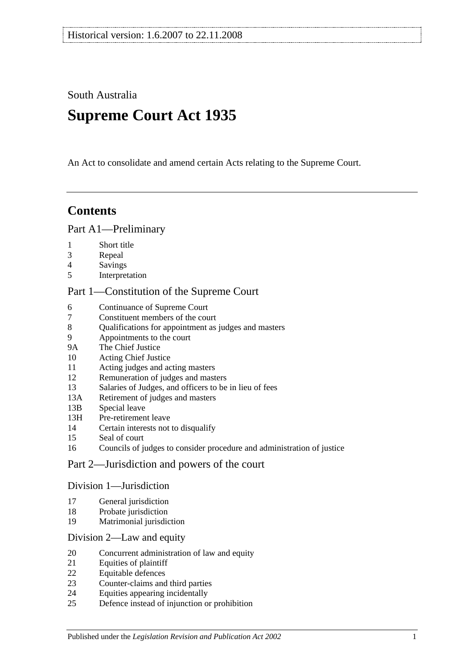South Australia

# **Supreme Court Act 1935**

An Act to consolidate and amend certain Acts relating to the Supreme Court.

# **Contents**

## [Part A1—Preliminary](#page-3-0)

- [Short title](#page-3-1)
- [Repeal](#page-3-2)
- [Savings](#page-3-3)
- [Interpretation](#page-3-4)

## [Part 1—Constitution of the Supreme Court](#page-5-0)

- [Continuance of](#page-5-1) Supreme Court<br>7 Constituent members of the cou
- [Constituent members of the court](#page-5-2)
- [Qualifications for appointment as judges and masters](#page-5-3)
- [Appointments to the court](#page-5-4)
- 9A [The Chief Justice](#page-6-0)
- [Acting Chief Justice](#page-6-1)
- [Acting judges and acting masters](#page-6-2)
- [Remuneration of judges and masters](#page-6-3)
- [Salaries of Judges, and officers to be in lieu of fees](#page-7-0)
- 13A [Retirement of judges and masters](#page-7-1)
- 13B [Special leave](#page-7-2)
- 13H [Pre-retirement leave](#page-7-3)
- [Certain interests not to disqualify](#page-8-0)
- [Seal of court](#page-9-0)
- [Councils of judges to consider procedure and administration of justice](#page-9-1)

# [Part 2—Jurisdiction and powers of the court](#page-9-2)

#### [Division 1—Jurisdiction](#page-9-3)

- [General jurisdiction](#page-9-4)
- [Probate jurisdiction](#page-10-0)
- [Matrimonial jurisdiction](#page-10-1)

#### [Division 2—Law and equity](#page-10-2)

- [Concurrent administration of law and equity](#page-10-3)
- [Equities of plaintiff](#page-10-4)
- [Equitable defences](#page-11-0)
- [Counter-claims and third parties](#page-11-1)
- [Equities appearing incidentally](#page-11-2)
- [Defence instead of injunction or prohibition](#page-11-3)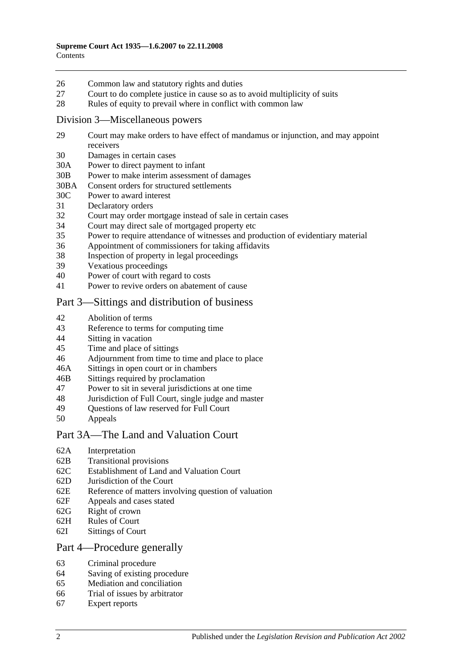- 26 [Common law and statutory rights and duties](#page-12-0)
- 27 [Court to do complete justice in cause so as to avoid multiplicity of suits](#page-12-1)
- 28 [Rules of equity to prevail where in conflict with common law](#page-12-2)

#### [Division 3—Miscellaneous powers](#page-12-3)

- 29 [Court may make orders to have effect of mandamus or injunction, and may appoint](#page-12-4)  [receivers](#page-12-4)
- 30 [Damages in certain cases](#page-13-0)
- 30A [Power to direct payment to infant](#page-13-1)
- 30B [Power to make interim assessment of damages](#page-13-2)
- 30BA [Consent orders for structured settlements](#page-16-0)
- 30C [Power to award interest](#page-16-1)
- 31 [Declaratory orders](#page-17-0)
- 32 [Court may order mortgage instead of sale in certain cases](#page-17-1)
- 34 [Court may direct sale of mortgaged property etc](#page-17-2)
- 35 [Power to require attendance of witnesses and production of evidentiary material](#page-17-3)
- 36 [Appointment of commissioners for taking affidavits](#page-18-0)
- 38 [Inspection of property in legal proceedings](#page-18-1)
- 39 [Vexatious proceedings](#page-18-2)
- 40 [Power of court with regard to costs](#page-19-0)
- 41 [Power to revive orders on abatement of cause](#page-19-1)

# [Part 3—Sittings and distribution of business](#page-19-2)

- 42 [Abolition of terms](#page-19-3)
- 43 [Reference to terms for computing time](#page-19-4)
- 44 Sitting [in vacation](#page-19-5)
- 45 [Time and place of sittings](#page-20-0)
- 46 [Adjournment from time to time and place to place](#page-20-1)
- 46A [Sittings in open court or in chambers](#page-20-2)
- 46B [Sittings required by proclamation](#page-20-3)
- 47 [Power to sit in several jurisdictions at one time](#page-20-4)
- 48 [Jurisdiction of Full Court, single judge and master](#page-20-5)
- 49 [Questions of law reserved for Full Court](#page-21-0)<br>50 Anneals
- **[Appeals](#page-21-1)**

#### [Part 3A—The Land and Valuation Court](#page-22-0)

- 62A [Interpretation](#page-22-1)
- 62B [Transitional provisions](#page-22-2)
- 62C [Establishment of Land and Valuation Court](#page-23-0)
- 62D [Jurisdiction of the Court](#page-23-1)
- 62E [Reference of matters involving question of valuation](#page-24-0)
- 62F [Appeals and cases stated](#page-24-1)
- 62G [Right of crown](#page-24-2)
- 62H [Rules of Court](#page-24-3)
- 62I [Sittings of Court](#page-25-0)

#### [Part 4—Procedure generally](#page-25-1)

- 63 [Criminal procedure](#page-25-2)
- 64 [Saving of existing procedure](#page-25-3)
- 65 [Mediation and conciliation](#page-25-4)
- 66 [Trial of issues by arbitrator](#page-26-0)
- 67 [Expert reports](#page-26-1)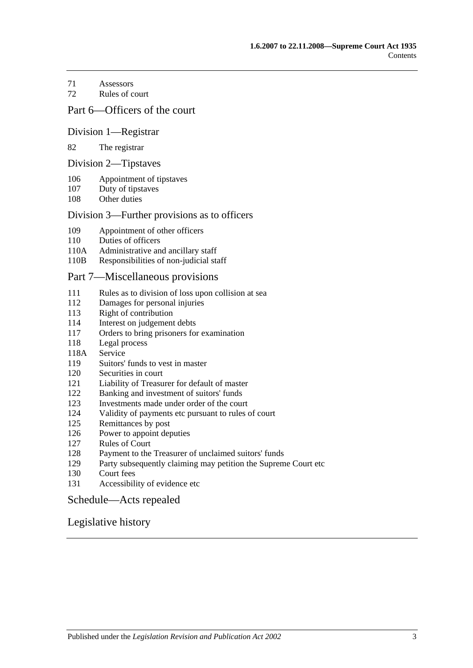[Assessors](#page-26-2)

[Rules of court](#page-27-0)

## [Part 6—Officers of the court](#page-28-0)

#### [Division 1—Registrar](#page-28-1)

#### [The registrar](#page-28-2)

#### [Division 2—Tipstaves](#page-28-3)

- [Appointment of tipstaves](#page-28-4)
- [Duty of tipstaves](#page-29-0)
- [Other duties](#page-29-1)

#### [Division 3—Further provisions as to officers](#page-29-2)

- [Appointment of other officers](#page-29-3)
- [Duties of officers](#page-29-4)
- 110A [Administrative and ancillary staff](#page-29-5)
- 110B [Responsibilities of non-judicial staff](#page-29-6)

#### [Part 7—Miscellaneous provisions](#page-30-0)

- [Rules as to division of loss upon collision at sea](#page-30-1)
- [Damages for personal injuries](#page-30-2)<br>113 Right of contribution
- [Right of contribution](#page-30-3)
- [Interest on judgement debts](#page-31-0)
- [Orders to bring prisoners for examination](#page-31-1)
- [Legal process](#page-31-2)
- 118A [Service](#page-31-3)
- [Suitors' funds to vest in master](#page-31-4)
- [Securities in court](#page-32-0)
- [Liability of Treasurer for default of master](#page-32-1)
- [Banking and investment of suitors' funds](#page-32-2)
- [Investments made under order of the court](#page-32-3)
- [Validity of payments etc pursuant to rules of court](#page-32-4)
- [Remittances by post](#page-32-5)
- [Power to appoint deputies](#page-33-0)
- [Rules of Court](#page-33-1)
- [Payment to the Treasurer of unclaimed suitors' funds](#page-33-2)
- [Party subsequently claiming may petition the Supreme Court etc](#page-33-3)
- [Court fees](#page-33-4)
- [Accessibility of evidence etc](#page-34-0)

#### [Schedule—Acts repealed](#page-35-0)

#### [Legislative history](#page-37-0)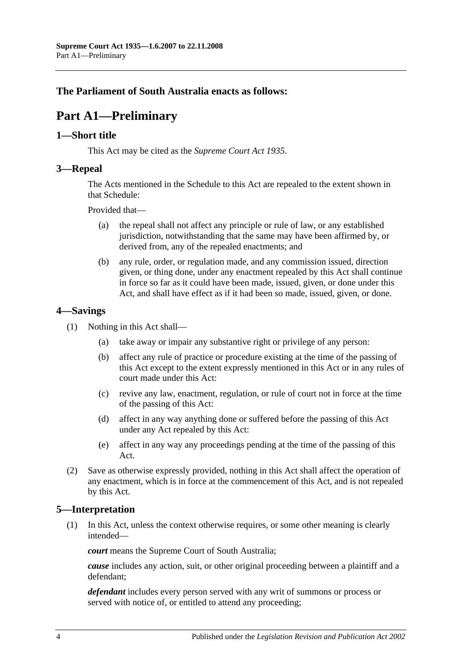# <span id="page-3-0"></span>**The Parliament of South Australia enacts as follows:**

# **Part A1—Preliminary**

## <span id="page-3-1"></span>**1—Short title**

This Act may be cited as the *Supreme Court Act 1935*.

## <span id="page-3-2"></span>**3—Repeal**

The Acts mentioned in the [Schedule](#page-35-0) to this Act are repealed to the extent shown in that [Schedule:](#page-35-0)

Provided that—

- (a) the repeal shall not affect any principle or rule of law, or any established jurisdiction, notwithstanding that the same may have been affirmed by, or derived from, any of the repealed enactments; and
- (b) any rule, order, or regulation made, and any commission issued, direction given, or thing done, under any enactment repealed by this Act shall continue in force so far as it could have been made, issued, given, or done under this Act, and shall have effect as if it had been so made, issued, given, or done.

# <span id="page-3-3"></span>**4—Savings**

- (1) Nothing in this Act shall—
	- (a) take away or impair any substantive right or privilege of any person:
	- (b) affect any rule of practice or procedure existing at the time of the passing of this Act except to the extent expressly mentioned in this Act or in any rules of court made under this Act:
	- (c) revive any law, enactment, regulation, or rule of court not in force at the time of the passing of this Act:
	- (d) affect in any way anything done or suffered before the passing of this Act under any Act repealed by this Act:
	- (e) affect in any way any proceedings pending at the time of the passing of this Act.
- (2) Save as otherwise expressly provided, nothing in this Act shall affect the operation of any enactment, which is in force at the commencement of this Act, and is not repealed by this Act.

# <span id="page-3-4"></span>**5—Interpretation**

(1) In this Act, unless the context otherwise requires, or some other meaning is clearly intended—

*court* means the Supreme Court of South Australia;

*cause* includes any action, suit, or other original proceeding between a plaintiff and a defendant;

*defendant* includes every person served with any writ of summons or process or served with notice of, or entitled to attend any proceeding;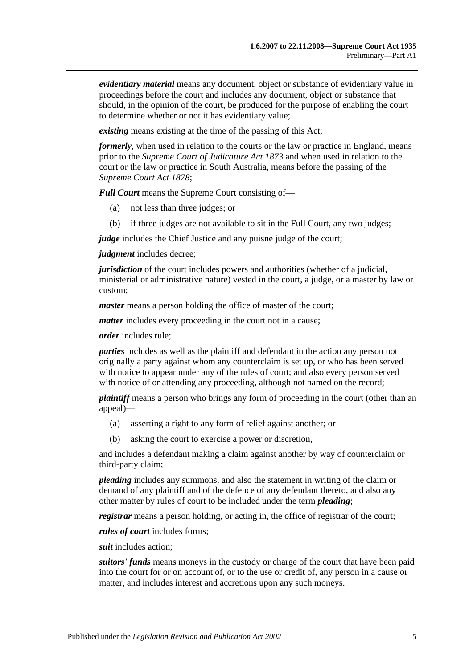*evidentiary material* means any document, object or substance of evidentiary value in proceedings before the court and includes any document, object or substance that should, in the opinion of the court, be produced for the purpose of enabling the court to determine whether or not it has evidentiary value;

*existing* means existing at the time of the passing of this Act;

*formerly*, when used in relation to the courts or the law or practice in England, means prior to the *[Supreme Court of Judicature Act](http://www.legislation.sa.gov.au/index.aspx?action=legref&type=act&legtitle=Supreme%20Court%20of%20Judicature%20Act%201873) 1873* and when used in relation to the court or the law or practice in South Australia, means before the passing of the *[Supreme Court Act](http://www.legislation.sa.gov.au/index.aspx?action=legref&type=act&legtitle=Supreme%20Court%20Act%201878) 1878*;

*Full Court* means the Supreme Court consisting of—

- (a) not less than three judges; or
- (b) if three judges are not available to sit in the Full Court, any two judges;

*judge* includes the Chief Justice and any puisne judge of the court;

*judgment* includes decree;

*jurisdiction* of the court includes powers and authorities (whether of a judicial, ministerial or administrative nature) vested in the court, a judge, or a master by law or custom;

*master* means a person holding the office of master of the court;

*matter* includes every proceeding in the court not in a cause;

*order* includes rule;

*parties* includes as well as the plaintiff and defendant in the action any person not originally a party against whom any counterclaim is set up, or who has been served with notice to appear under any of the rules of court; and also every person served with notice of or attending any proceeding, although not named on the record;

*plaintiff* means a person who brings any form of proceeding in the court (other than an appeal)—

- (a) asserting a right to any form of relief against another; or
- (b) asking the court to exercise a power or discretion,

and includes a defendant making a claim against another by way of counterclaim or third-party claim;

*pleading* includes any summons, and also the statement in writing of the claim or demand of any plaintiff and of the defence of any defendant thereto, and also any other matter by rules of court to be included under the term *pleading*;

*registrar* means a person holding, or acting in, the office of registrar of the court;

*rules of court* includes forms;

*suit* includes action;

*suitors' funds* means moneys in the custody or charge of the court that have been paid into the court for or on account of, or to the use or credit of, any person in a cause or matter, and includes interest and accretions upon any such moneys.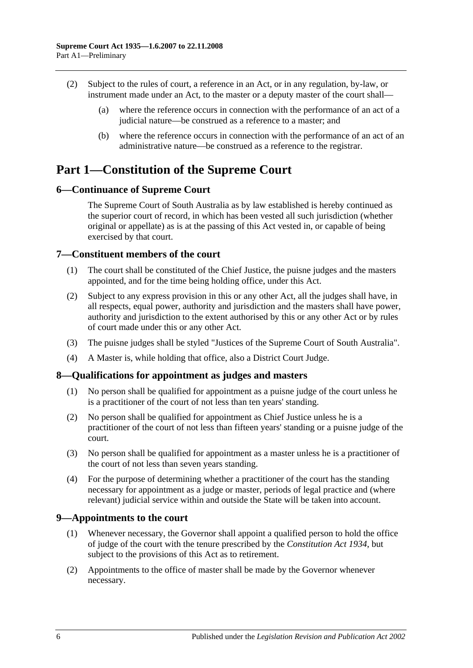- (2) Subject to the rules of court, a reference in an Act, or in any regulation, by-law, or instrument made under an Act, to the master or a deputy master of the court shall—
	- (a) where the reference occurs in connection with the performance of an act of a judicial nature—be construed as a reference to a master; and
	- (b) where the reference occurs in connection with the performance of an act of an administrative nature—be construed as a reference to the registrar.

# <span id="page-5-0"></span>**Part 1—Constitution of the Supreme Court**

# <span id="page-5-1"></span>**6—Continuance of Supreme Court**

The Supreme Court of South Australia as by law established is hereby continued as the superior court of record, in which has been vested all such jurisdiction (whether original or appellate) as is at the passing of this Act vested in, or capable of being exercised by that court.

# <span id="page-5-2"></span>**7—Constituent members of the court**

- (1) The court shall be constituted of the Chief Justice, the puisne judges and the masters appointed, and for the time being holding office, under this Act.
- (2) Subject to any express provision in this or any other Act, all the judges shall have, in all respects, equal power, authority and jurisdiction and the masters shall have power, authority and jurisdiction to the extent authorised by this or any other Act or by rules of court made under this or any other Act.
- (3) The puisne judges shall be styled "Justices of the Supreme Court of South Australia".
- (4) A Master is, while holding that office, also a District Court Judge.

# <span id="page-5-3"></span>**8—Qualifications for appointment as judges and masters**

- (1) No person shall be qualified for appointment as a puisne judge of the court unless he is a practitioner of the court of not less than ten years' standing.
- (2) No person shall be qualified for appointment as Chief Justice unless he is a practitioner of the court of not less than fifteen years' standing or a puisne judge of the court.
- (3) No person shall be qualified for appointment as a master unless he is a practitioner of the court of not less than seven years standing.
- (4) For the purpose of determining whether a practitioner of the court has the standing necessary for appointment as a judge or master, periods of legal practice and (where relevant) judicial service within and outside the State will be taken into account.

# <span id="page-5-4"></span>**9—Appointments to the court**

- (1) Whenever necessary, the Governor shall appoint a qualified person to hold the office of judge of the court with the tenure prescribed by the *[Constitution Act](http://www.legislation.sa.gov.au/index.aspx?action=legref&type=act&legtitle=Constitution%20Act%201934) 1934*, but subject to the provisions of this Act as to retirement.
- (2) Appointments to the office of master shall be made by the Governor whenever necessary.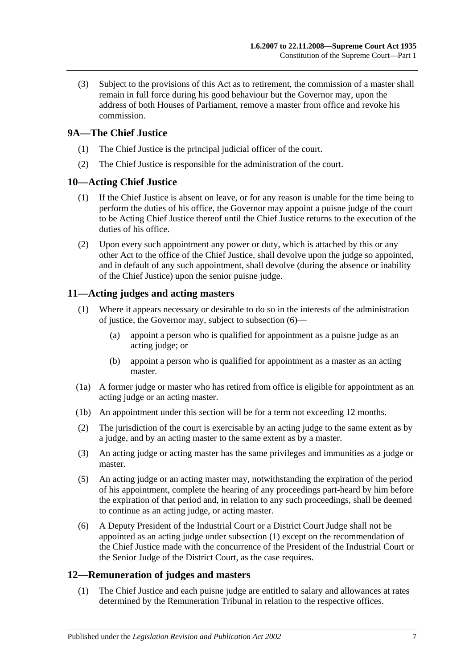(3) Subject to the provisions of this Act as to retirement, the commission of a master shall remain in full force during his good behaviour but the Governor may, upon the address of both Houses of Parliament, remove a master from office and revoke his commission.

# <span id="page-6-0"></span>**9A—The Chief Justice**

- (1) The Chief Justice is the principal judicial officer of the court.
- (2) The Chief Justice is responsible for the administration of the court.

# <span id="page-6-1"></span>**10—Acting Chief Justice**

- (1) If the Chief Justice is absent on leave, or for any reason is unable for the time being to perform the duties of his office, the Governor may appoint a puisne judge of the court to be Acting Chief Justice thereof until the Chief Justice returns to the execution of the duties of his office.
- (2) Upon every such appointment any power or duty, which is attached by this or any other Act to the office of the Chief Justice, shall devolve upon the judge so appointed, and in default of any such appointment, shall devolve (during the absence or inability of the Chief Justice) upon the senior puisne judge.

# <span id="page-6-5"></span><span id="page-6-2"></span>**11—Acting judges and acting masters**

- (1) Where it appears necessary or desirable to do so in the interests of the administration of justice, the Governor may, subject to [subsection](#page-6-4) (6)—
	- (a) appoint a person who is qualified for appointment as a puisne judge as an acting judge; or
	- (b) appoint a person who is qualified for appointment as a master as an acting master.
- (1a) A former judge or master who has retired from office is eligible for appointment as an acting judge or an acting master.
- (1b) An appointment under this section will be for a term not exceeding 12 months.
- (2) The jurisdiction of the court is exercisable by an acting judge to the same extent as by a judge, and by an acting master to the same extent as by a master.
- (3) An acting judge or acting master has the same privileges and immunities as a judge or master.
- (5) An acting judge or an acting master may, notwithstanding the expiration of the period of his appointment, complete the hearing of any proceedings part-heard by him before the expiration of that period and, in relation to any such proceedings, shall be deemed to continue as an acting judge, or acting master.
- <span id="page-6-4"></span>(6) A Deputy President of the Industrial Court or a District Court Judge shall not be appointed as an acting judge under [subsection](#page-6-5) (1) except on the recommendation of the Chief Justice made with the concurrence of the President of the Industrial Court or the Senior Judge of the District Court, as the case requires.

# <span id="page-6-3"></span>**12—Remuneration of judges and masters**

(1) The Chief Justice and each puisne judge are entitled to salary and allowances at rates determined by the Remuneration Tribunal in relation to the respective offices.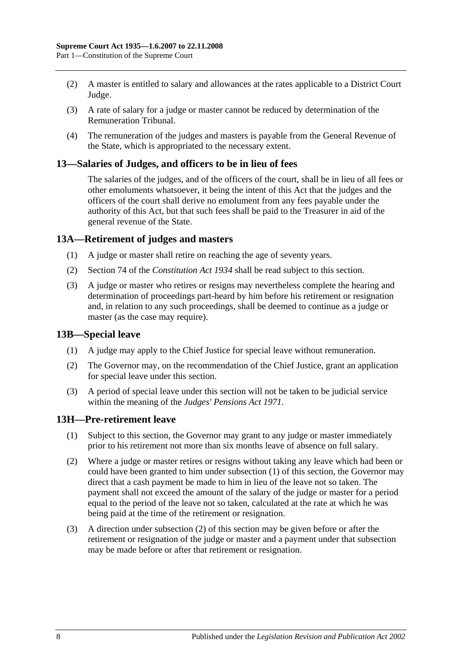- (2) A master is entitled to salary and allowances at the rates applicable to a District Court Judge.
- (3) A rate of salary for a judge or master cannot be reduced by determination of the Remuneration Tribunal.
- (4) The remuneration of the judges and masters is payable from the General Revenue of the State, which is appropriated to the necessary extent.

### <span id="page-7-0"></span>**13—Salaries of Judges, and officers to be in lieu of fees**

The salaries of the judges, and of the officers of the court, shall be in lieu of all fees or other emoluments whatsoever, it being the intent of this Act that the judges and the officers of the court shall derive no emolument from any fees payable under the authority of this Act, but that such fees shall be paid to the Treasurer in aid of the general revenue of the State.

## <span id="page-7-1"></span>**13A—Retirement of judges and masters**

- (1) A judge or master shall retire on reaching the age of seventy years.
- (2) Section 74 of the *[Constitution](http://www.legislation.sa.gov.au/index.aspx?action=legref&type=act&legtitle=Constitution%20Act%201934) Act 1934* shall be read subject to this section.
- (3) A judge or master who retires or resigns may nevertheless complete the hearing and determination of proceedings part-heard by him before his retirement or resignation and, in relation to any such proceedings, shall be deemed to continue as a judge or master (as the case may require).

#### <span id="page-7-2"></span>**13B—Special leave**

- (1) A judge may apply to the Chief Justice for special leave without remuneration.
- (2) The Governor may, on the recommendation of the Chief Justice, grant an application for special leave under this section.
- (3) A period of special leave under this section will not be taken to be judicial service within the meaning of the *[Judges' Pensions Act](http://www.legislation.sa.gov.au/index.aspx?action=legref&type=act&legtitle=Judges%20Pensions%20Act%201971) 1971*.

#### <span id="page-7-4"></span><span id="page-7-3"></span>**13H—Pre-retirement leave**

- (1) Subject to this section, the Governor may grant to any judge or master immediately prior to his retirement not more than six months leave of absence on full salary.
- <span id="page-7-5"></span>(2) Where a judge or master retires or resigns without taking any leave which had been or could have been granted to him under [subsection](#page-7-4) (1) of this section, the Governor may direct that a cash payment be made to him in lieu of the leave not so taken. The payment shall not exceed the amount of the salary of the judge or master for a period equal to the period of the leave not so taken, calculated at the rate at which he was being paid at the time of the retirement or resignation.
- (3) A direction under [subsection](#page-7-5) (2) of this section may be given before or after the retirement or resignation of the judge or master and a payment under that subsection may be made before or after that retirement or resignation.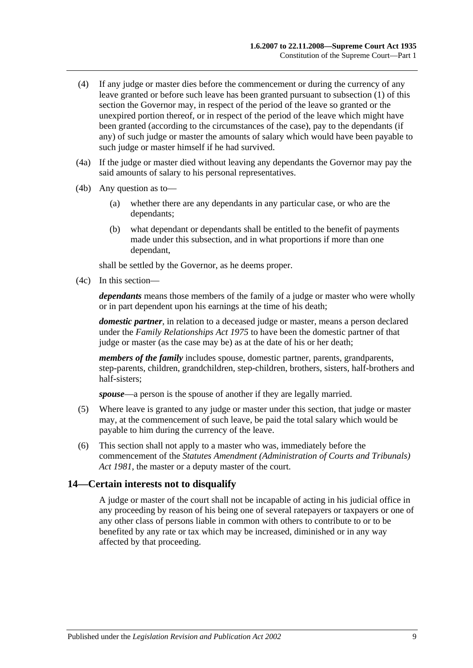- (4) If any judge or master dies before the commencement or during the currency of any leave granted or before such leave has been granted pursuant to [subsection](#page-7-4) (1) of this section the Governor may, in respect of the period of the leave so granted or the unexpired portion thereof, or in respect of the period of the leave which might have been granted (according to the circumstances of the case), pay to the dependants (if any) of such judge or master the amounts of salary which would have been payable to such judge or master himself if he had survived.
- (4a) If the judge or master died without leaving any dependants the Governor may pay the said amounts of salary to his personal representatives.
- (4b) Any question as to—
	- (a) whether there are any dependants in any particular case, or who are the dependants;
	- (b) what dependant or dependants shall be entitled to the benefit of payments made under this subsection, and in what proportions if more than one dependant,

shall be settled by the Governor, as he deems proper.

(4c) In this section—

*dependants* means those members of the family of a judge or master who were wholly or in part dependent upon his earnings at the time of his death;

*domestic partner*, in relation to a deceased judge or master, means a person declared under the *[Family Relationships Act](http://www.legislation.sa.gov.au/index.aspx?action=legref&type=act&legtitle=Family%20Relationships%20Act%201975) 1975* to have been the domestic partner of that judge or master (as the case may be) as at the date of his or her death;

*members of the family* includes spouse, domestic partner, parents, grandparents, step-parents, children, grandchildren, step-children, brothers, sisters, half-brothers and half-sisters;

*spouse*—a person is the spouse of another if they are legally married.

- (5) Where leave is granted to any judge or master under this section, that judge or master may, at the commencement of such leave, be paid the total salary which would be payable to him during the currency of the leave.
- (6) This section shall not apply to a master who was, immediately before the commencement of the *[Statutes Amendment \(Administration of Courts and Tribunals\)](http://www.legislation.sa.gov.au/index.aspx?action=legref&type=act&legtitle=Statutes%20Amendment%20(Administration%20of%20Courts%20and%20Tribunals)%20Act%201981)  Act [1981](http://www.legislation.sa.gov.au/index.aspx?action=legref&type=act&legtitle=Statutes%20Amendment%20(Administration%20of%20Courts%20and%20Tribunals)%20Act%201981)*, the master or a deputy master of the court.

#### <span id="page-8-0"></span>**14—Certain interests not to disqualify**

A judge or master of the court shall not be incapable of acting in his judicial office in any proceeding by reason of his being one of several ratepayers or taxpayers or one of any other class of persons liable in common with others to contribute to or to be benefited by any rate or tax which may be increased, diminished or in any way affected by that proceeding.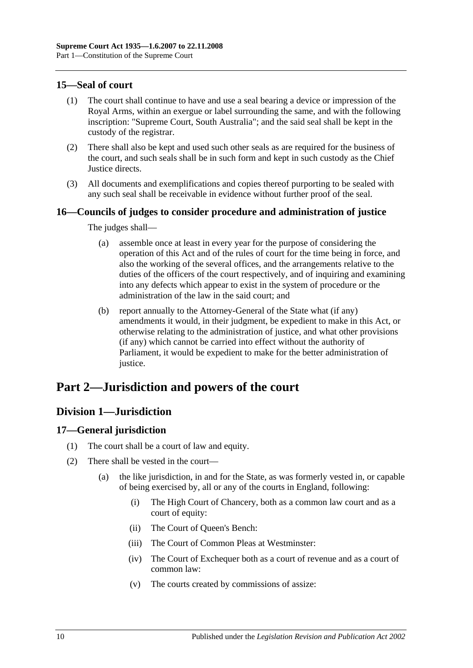# <span id="page-9-0"></span>**15—Seal of court**

- (1) The court shall continue to have and use a seal bearing a device or impression of the Royal Arms, within an exergue or label surrounding the same, and with the following inscription: "Supreme Court, South Australia"; and the said seal shall be kept in the custody of the registrar.
- (2) There shall also be kept and used such other seals as are required for the business of the court, and such seals shall be in such form and kept in such custody as the Chief Justice directs.
- (3) All documents and exemplifications and copies thereof purporting to be sealed with any such seal shall be receivable in evidence without further proof of the seal.

# <span id="page-9-1"></span>**16—Councils of judges to consider procedure and administration of justice**

The judges shall—

- (a) assemble once at least in every year for the purpose of considering the operation of this Act and of the rules of court for the time being in force, and also the working of the several offices, and the arrangements relative to the duties of the officers of the court respectively, and of inquiring and examining into any defects which appear to exist in the system of procedure or the administration of the law in the said court; and
- (b) report annually to the Attorney-General of the State what (if any) amendments it would, in their judgment, be expedient to make in this Act, or otherwise relating to the administration of justice, and what other provisions (if any) which cannot be carried into effect without the authority of Parliament, it would be expedient to make for the better administration of justice.

# <span id="page-9-2"></span>**Part 2—Jurisdiction and powers of the court**

# <span id="page-9-3"></span>**Division 1—Jurisdiction**

# <span id="page-9-4"></span>**17—General jurisdiction**

- (1) The court shall be a court of law and equity.
- (2) There shall be vested in the court—
	- (a) the like jurisdiction, in and for the State, as was formerly vested in, or capable of being exercised by, all or any of the courts in England, following:
		- (i) The High Court of Chancery, both as a common law court and as a court of equity:
		- (ii) The Court of Queen's Bench:
		- (iii) The Court of Common Pleas at Westminster:
		- (iv) The Court of Exchequer both as a court of revenue and as a court of common law:
		- (v) The courts created by commissions of assize: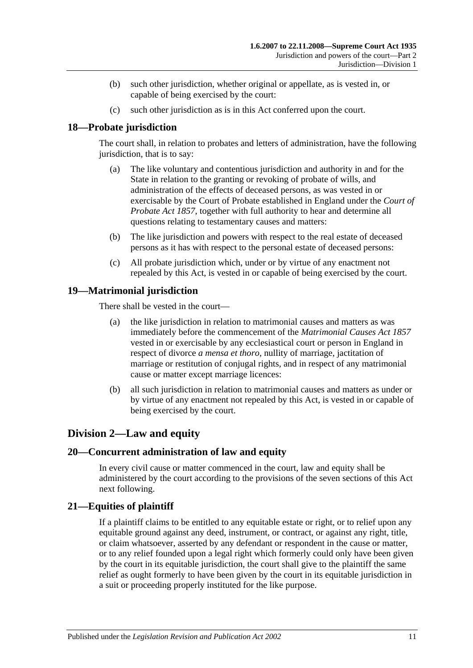- (b) such other jurisdiction, whether original or appellate, as is vested in, or capable of being exercised by the court:
- (c) such other jurisdiction as is in this Act conferred upon the court.

# <span id="page-10-0"></span>**18—Probate jurisdiction**

The court shall, in relation to probates and letters of administration, have the following jurisdiction, that is to say:

- (a) The like voluntary and contentious jurisdiction and authority in and for the State in relation to the granting or revoking of probate of wills, and administration of the effects of deceased persons, as was vested in or exercisable by the Court of Probate established in England under the *[Court of](http://www.legislation.sa.gov.au/index.aspx?action=legref&type=act&legtitle=Court%20of%20Probate%20Act%201857)  [Probate Act](http://www.legislation.sa.gov.au/index.aspx?action=legref&type=act&legtitle=Court%20of%20Probate%20Act%201857) 1857*, together with full authority to hear and determine all questions relating to testamentary causes and matters:
- (b) The like jurisdiction and powers with respect to the real estate of deceased persons as it has with respect to the personal estate of deceased persons:
- (c) All probate jurisdiction which, under or by virtue of any enactment not repealed by this Act, is vested in or capable of being exercised by the court.

# <span id="page-10-1"></span>**19—Matrimonial jurisdiction**

There shall be vested in the court—

- (a) the like jurisdiction in relation to matrimonial causes and matters as was immediately before the commencement of the *[Matrimonial Causes Act](http://www.legislation.sa.gov.au/index.aspx?action=legref&type=act&legtitle=Matrimonial%20Causes%20Act%201857) 1857* vested in or exercisable by any ecclesiastical court or person in England in respect of divorce *a mensa et thoro*, nullity of marriage, jactitation of marriage or restitution of conjugal rights, and in respect of any matrimonial cause or matter except marriage licences:
- (b) all such jurisdiction in relation to matrimonial causes and matters as under or by virtue of any enactment not repealed by this Act, is vested in or capable of being exercised by the court.

# <span id="page-10-2"></span>**Division 2—Law and equity**

# <span id="page-10-3"></span>**20—Concurrent administration of law and equity**

In every civil cause or matter commenced in the court, law and equity shall be administered by the court according to the provisions of the seven sections of this Act next following.

# <span id="page-10-4"></span>**21—Equities of plaintiff**

If a plaintiff claims to be entitled to any equitable estate or right, or to relief upon any equitable ground against any deed, instrument, or contract, or against any right, title, or claim whatsoever, asserted by any defendant or respondent in the cause or matter, or to any relief founded upon a legal right which formerly could only have been given by the court in its equitable jurisdiction, the court shall give to the plaintiff the same relief as ought formerly to have been given by the court in its equitable jurisdiction in a suit or proceeding properly instituted for the like purpose.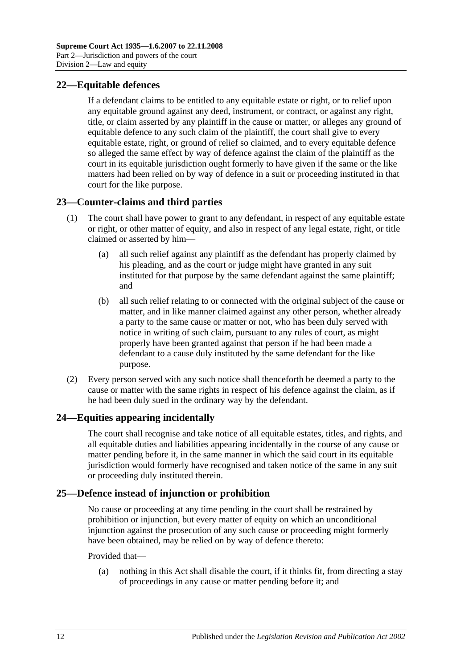# <span id="page-11-0"></span>**22—Equitable defences**

If a defendant claims to be entitled to any equitable estate or right, or to relief upon any equitable ground against any deed, instrument, or contract, or against any right, title, or claim asserted by any plaintiff in the cause or matter, or alleges any ground of equitable defence to any such claim of the plaintiff, the court shall give to every equitable estate, right, or ground of relief so claimed, and to every equitable defence so alleged the same effect by way of defence against the claim of the plaintiff as the court in its equitable jurisdiction ought formerly to have given if the same or the like matters had been relied on by way of defence in a suit or proceeding instituted in that court for the like purpose.

# <span id="page-11-1"></span>**23—Counter-claims and third parties**

- (1) The court shall have power to grant to any defendant, in respect of any equitable estate or right, or other matter of equity, and also in respect of any legal estate, right, or title claimed or asserted by him—
	- (a) all such relief against any plaintiff as the defendant has properly claimed by his pleading, and as the court or judge might have granted in any suit instituted for that purpose by the same defendant against the same plaintiff; and
	- (b) all such relief relating to or connected with the original subject of the cause or matter, and in like manner claimed against any other person, whether already a party to the same cause or matter or not, who has been duly served with notice in writing of such claim, pursuant to any rules of court, as might properly have been granted against that person if he had been made a defendant to a cause duly instituted by the same defendant for the like purpose.
- (2) Every person served with any such notice shall thenceforth be deemed a party to the cause or matter with the same rights in respect of his defence against the claim, as if he had been duly sued in the ordinary way by the defendant.

# <span id="page-11-2"></span>**24—Equities appearing incidentally**

The court shall recognise and take notice of all equitable estates, titles, and rights, and all equitable duties and liabilities appearing incidentally in the course of any cause or matter pending before it, in the same manner in which the said court in its equitable jurisdiction would formerly have recognised and taken notice of the same in any suit or proceeding duly instituted therein.

# <span id="page-11-3"></span>**25—Defence instead of injunction or prohibition**

No cause or proceeding at any time pending in the court shall be restrained by prohibition or injunction, but every matter of equity on which an unconditional injunction against the prosecution of any such cause or proceeding might formerly have been obtained, may be relied on by way of defence thereto:

#### Provided that—

(a) nothing in this Act shall disable the court, if it thinks fit, from directing a stay of proceedings in any cause or matter pending before it; and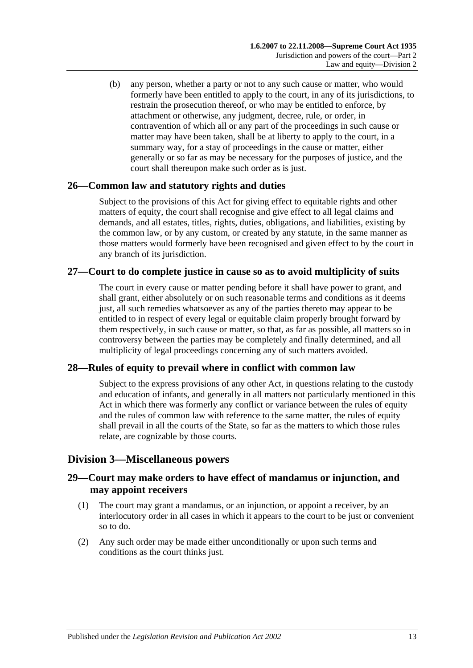(b) any person, whether a party or not to any such cause or matter, who would formerly have been entitled to apply to the court, in any of its jurisdictions, to restrain the prosecution thereof, or who may be entitled to enforce, by attachment or otherwise, any judgment, decree, rule, or order, in contravention of which all or any part of the proceedings in such cause or matter may have been taken, shall be at liberty to apply to the court, in a summary way, for a stay of proceedings in the cause or matter, either generally or so far as may be necessary for the purposes of justice, and the court shall thereupon make such order as is just.

# <span id="page-12-0"></span>**26—Common law and statutory rights and duties**

Subject to the provisions of this Act for giving effect to equitable rights and other matters of equity, the court shall recognise and give effect to all legal claims and demands, and all estates, titles, rights, duties, obligations, and liabilities, existing by the common law, or by any custom, or created by any statute, in the same manner as those matters would formerly have been recognised and given effect to by the court in any branch of its jurisdiction.

# <span id="page-12-1"></span>**27—Court to do complete justice in cause so as to avoid multiplicity of suits**

The court in every cause or matter pending before it shall have power to grant, and shall grant, either absolutely or on such reasonable terms and conditions as it deems just, all such remedies whatsoever as any of the parties thereto may appear to be entitled to in respect of every legal or equitable claim properly brought forward by them respectively, in such cause or matter, so that, as far as possible, all matters so in controversy between the parties may be completely and finally determined, and all multiplicity of legal proceedings concerning any of such matters avoided.

# <span id="page-12-2"></span>**28—Rules of equity to prevail where in conflict with common law**

Subject to the express provisions of any other Act, in questions relating to the custody and education of infants, and generally in all matters not particularly mentioned in this Act in which there was formerly any conflict or variance between the rules of equity and the rules of common law with reference to the same matter, the rules of equity shall prevail in all the courts of the State, so far as the matters to which those rules relate, are cognizable by those courts.

# <span id="page-12-3"></span>**Division 3—Miscellaneous powers**

# <span id="page-12-4"></span>**29—Court may make orders to have effect of mandamus or injunction, and may appoint receivers**

- (1) The court may grant a mandamus, or an injunction, or appoint a receiver, by an interlocutory order in all cases in which it appears to the court to be just or convenient so to do.
- (2) Any such order may be made either unconditionally or upon such terms and conditions as the court thinks just.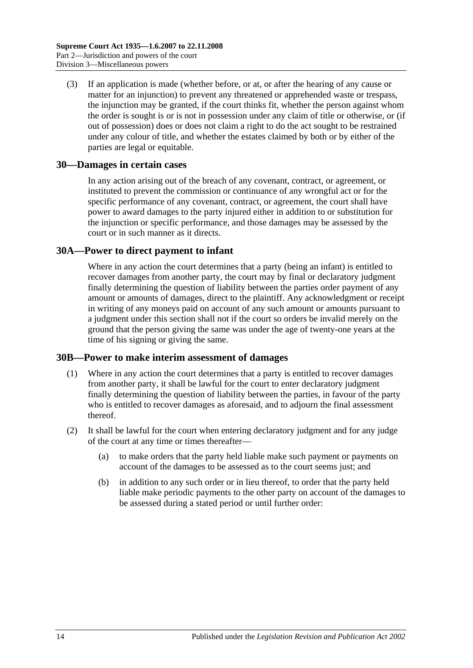(3) If an application is made (whether before, or at, or after the hearing of any cause or matter for an injunction) to prevent any threatened or apprehended waste or trespass, the injunction may be granted, if the court thinks fit, whether the person against whom the order is sought is or is not in possession under any claim of title or otherwise, or (if out of possession) does or does not claim a right to do the act sought to be restrained under any colour of title, and whether the estates claimed by both or by either of the parties are legal or equitable.

## <span id="page-13-0"></span>**30—Damages in certain cases**

In any action arising out of the breach of any covenant, contract, or agreement, or instituted to prevent the commission or continuance of any wrongful act or for the specific performance of any covenant, contract, or agreement, the court shall have power to award damages to the party injured either in addition to or substitution for the injunction or specific performance, and those damages may be assessed by the court or in such manner as it directs.

## <span id="page-13-1"></span>**30A—Power to direct payment to infant**

Where in any action the court determines that a party (being an infant) is entitled to recover damages from another party, the court may by final or declaratory judgment finally determining the question of liability between the parties order payment of any amount or amounts of damages, direct to the plaintiff. Any acknowledgment or receipt in writing of any moneys paid on account of any such amount or amounts pursuant to a judgment under this section shall not if the court so orders be invalid merely on the ground that the person giving the same was under the age of twenty-one years at the time of his signing or giving the same.

#### <span id="page-13-2"></span>**30B—Power to make interim assessment of damages**

- (1) Where in any action the court determines that a party is entitled to recover damages from another party, it shall be lawful for the court to enter declaratory judgment finally determining the question of liability between the parties, in favour of the party who is entitled to recover damages as aforesaid, and to adjourn the final assessment thereof.
- <span id="page-13-3"></span>(2) It shall be lawful for the court when entering declaratory judgment and for any judge of the court at any time or times thereafter—
	- (a) to make orders that the party held liable make such payment or payments on account of the damages to be assessed as to the court seems just; and
	- (b) in addition to any such order or in lieu thereof, to order that the party held liable make periodic payments to the other party on account of the damages to be assessed during a stated period or until further order: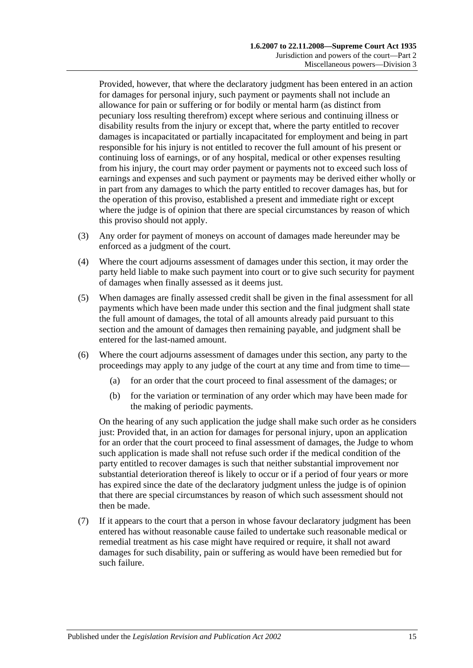Provided, however, that where the declaratory judgment has been entered in an action for damages for personal injury, such payment or payments shall not include an allowance for pain or suffering or for bodily or mental harm (as distinct from pecuniary loss resulting therefrom) except where serious and continuing illness or disability results from the injury or except that, where the party entitled to recover damages is incapacitated or partially incapacitated for employment and being in part responsible for his injury is not entitled to recover the full amount of his present or continuing loss of earnings, or of any hospital, medical or other expenses resulting from his injury, the court may order payment or payments not to exceed such loss of earnings and expenses and such payment or payments may be derived either wholly or in part from any damages to which the party entitled to recover damages has, but for the operation of this proviso, established a present and immediate right or except where the judge is of opinion that there are special circumstances by reason of which this proviso should not apply.

- (3) Any order for payment of moneys on account of damages made hereunder may be enforced as a judgment of the court.
- (4) Where the court adjourns assessment of damages under this section, it may order the party held liable to make such payment into court or to give such security for payment of damages when finally assessed as it deems just.
- (5) When damages are finally assessed credit shall be given in the final assessment for all payments which have been made under this section and the final judgment shall state the full amount of damages, the total of all amounts already paid pursuant to this section and the amount of damages then remaining payable, and judgment shall be entered for the last-named amount.
- (6) Where the court adjourns assessment of damages under this section, any party to the proceedings may apply to any judge of the court at any time and from time to time—
	- (a) for an order that the court proceed to final assessment of the damages; or
	- (b) for the variation or termination of any order which may have been made for the making of periodic payments.

On the hearing of any such application the judge shall make such order as he considers just: Provided that, in an action for damages for personal injury, upon an application for an order that the court proceed to final assessment of damages, the Judge to whom such application is made shall not refuse such order if the medical condition of the party entitled to recover damages is such that neither substantial improvement nor substantial deterioration thereof is likely to occur or if a period of four years or more has expired since the date of the declaratory judgment unless the judge is of opinion that there are special circumstances by reason of which such assessment should not then be made.

(7) If it appears to the court that a person in whose favour declaratory judgment has been entered has without reasonable cause failed to undertake such reasonable medical or remedial treatment as his case might have required or require, it shall not award damages for such disability, pain or suffering as would have been remedied but for such failure.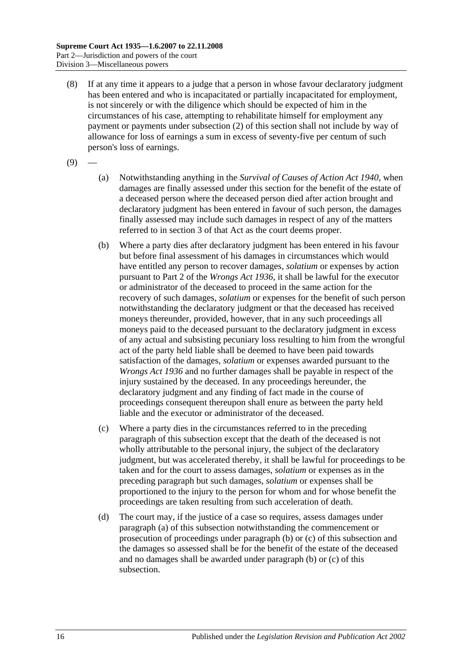- (8) If at any time it appears to a judge that a person in whose favour declaratory judgment has been entered and who is incapacitated or partially incapacitated for employment, is not sincerely or with the diligence which should be expected of him in the circumstances of his case, attempting to rehabilitate himself for employment any payment or payments under [subsection](#page-13-3) (2) of this section shall not include by way of allowance for loss of earnings a sum in excess of seventy-five per centum of such person's loss of earnings.
- <span id="page-15-0"></span> $(9)$
- (a) Notwithstanding anything in the *[Survival of Causes of Action Act](http://www.legislation.sa.gov.au/index.aspx?action=legref&type=act&legtitle=Survival%20of%20Causes%20of%20Action%20Act%201940) 1940*, when damages are finally assessed under this section for the benefit of the estate of a deceased person where the deceased person died after action brought and declaratory judgment has been entered in favour of such person, the damages finally assessed may include such damages in respect of any of the matters referred to in section 3 of that Act as the court deems proper.
- <span id="page-15-1"></span>(b) Where a party dies after declaratory judgment has been entered in his favour but before final assessment of his damages in circumstances which would have entitled any person to recover damages, *solatium* or expenses by action pursuant to Part 2 of the *[Wrongs Act](http://www.legislation.sa.gov.au/index.aspx?action=legref&type=act&legtitle=Wrongs%20Act%201936) 1936*, it shall be lawful for the executor or administrator of the deceased to proceed in the same action for the recovery of such damages, *solatium* or expenses for the benefit of such person notwithstanding the declaratory judgment or that the deceased has received moneys thereunder, provided, however, that in any such proceedings all moneys paid to the deceased pursuant to the declaratory judgment in excess of any actual and subsisting pecuniary loss resulting to him from the wrongful act of the party held liable shall be deemed to have been paid towards satisfaction of the damages, *solatium* or expenses awarded pursuant to the *[Wrongs Act](http://www.legislation.sa.gov.au/index.aspx?action=legref&type=act&legtitle=Wrongs%20Act%201936) 1936* and no further damages shall be payable in respect of the injury sustained by the deceased. In any proceedings hereunder, the declaratory judgment and any finding of fact made in the course of proceedings consequent thereupon shall enure as between the party held liable and the executor or administrator of the deceased.
- <span id="page-15-2"></span>(c) Where a party dies in the circumstances referred to in the preceding paragraph of this subsection except that the death of the deceased is not wholly attributable to the personal injury, the subject of the declaratory judgment, but was accelerated thereby, it shall be lawful for proceedings to be taken and for the court to assess damages, *solatium* or expenses as in the preceding paragraph but such damages, *solatium* or expenses shall be proportioned to the injury to the person for whom and for whose benefit the proceedings are taken resulting from such acceleration of death.
- (d) The court may, if the justice of a case so requires, assess damages under [paragraph](#page-15-0) (a) of this subsection notwithstanding the commencement or prosecution of proceedings under [paragraph](#page-15-1) (b) or [\(c\)](#page-15-2) of this subsection and the damages so assessed shall be for the benefit of the estate of the deceased and no damages shall be awarded under [paragraph](#page-15-1) (b) or [\(c\)](#page-15-2) of this subsection.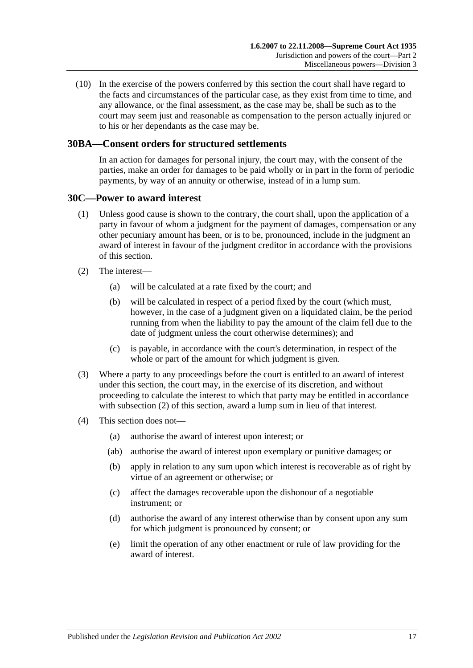(10) In the exercise of the powers conferred by this section the court shall have regard to the facts and circumstances of the particular case, as they exist from time to time, and any allowance, or the final assessment, as the case may be, shall be such as to the court may seem just and reasonable as compensation to the person actually injured or to his or her dependants as the case may be.

# <span id="page-16-0"></span>**30BA—Consent orders for structured settlements**

In an action for damages for personal injury, the court may, with the consent of the parties, make an order for damages to be paid wholly or in part in the form of periodic payments, by way of an annuity or otherwise, instead of in a lump sum.

#### <span id="page-16-1"></span>**30C—Power to award interest**

- (1) Unless good cause is shown to the contrary, the court shall, upon the application of a party in favour of whom a judgment for the payment of damages, compensation or any other pecuniary amount has been, or is to be, pronounced, include in the judgment an award of interest in favour of the judgment creditor in accordance with the provisions of this section.
- <span id="page-16-2"></span>(2) The interest—
	- (a) will be calculated at a rate fixed by the court; and
	- (b) will be calculated in respect of a period fixed by the court (which must, however, in the case of a judgment given on a liquidated claim, be the period running from when the liability to pay the amount of the claim fell due to the date of judgment unless the court otherwise determines); and
	- (c) is payable, in accordance with the court's determination, in respect of the whole or part of the amount for which judgment is given.
- (3) Where a party to any proceedings before the court is entitled to an award of interest under this section, the court may, in the exercise of its discretion, and without proceeding to calculate the interest to which that party may be entitled in accordance with [subsection](#page-16-2) (2) of this section, award a lump sum in lieu of that interest.
- (4) This section does not—
	- (a) authorise the award of interest upon interest; or
	- (ab) authorise the award of interest upon exemplary or punitive damages; or
	- (b) apply in relation to any sum upon which interest is recoverable as of right by virtue of an agreement or otherwise; or
	- (c) affect the damages recoverable upon the dishonour of a negotiable instrument; or
	- (d) authorise the award of any interest otherwise than by consent upon any sum for which judgment is pronounced by consent; or
	- (e) limit the operation of any other enactment or rule of law providing for the award of interest.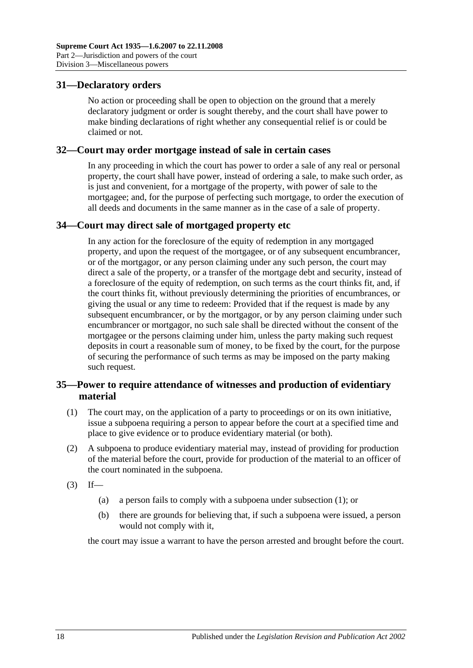## <span id="page-17-0"></span>**31—Declaratory orders**

No action or proceeding shall be open to objection on the ground that a merely declaratory judgment or order is sought thereby, and the court shall have power to make binding declarations of right whether any consequential relief is or could be claimed or not.

### <span id="page-17-1"></span>**32—Court may order mortgage instead of sale in certain cases**

In any proceeding in which the court has power to order a sale of any real or personal property, the court shall have power, instead of ordering a sale, to make such order, as is just and convenient, for a mortgage of the property, with power of sale to the mortgagee; and, for the purpose of perfecting such mortgage, to order the execution of all deeds and documents in the same manner as in the case of a sale of property.

# <span id="page-17-2"></span>**34—Court may direct sale of mortgaged property etc**

In any action for the foreclosure of the equity of redemption in any mortgaged property, and upon the request of the mortgagee, or of any subsequent encumbrancer, or of the mortgagor, or any person claiming under any such person, the court may direct a sale of the property, or a transfer of the mortgage debt and security, instead of a foreclosure of the equity of redemption, on such terms as the court thinks fit, and, if the court thinks fit, without previously determining the priorities of encumbrances, or giving the usual or any time to redeem: Provided that if the request is made by any subsequent encumbrancer, or by the mortgagor, or by any person claiming under such encumbrancer or mortgagor, no such sale shall be directed without the consent of the mortgagee or the persons claiming under him, unless the party making such request deposits in court a reasonable sum of money, to be fixed by the court, for the purpose of securing the performance of such terms as may be imposed on the party making such request.

# <span id="page-17-3"></span>**35—Power to require attendance of witnesses and production of evidentiary material**

- <span id="page-17-4"></span>(1) The court may, on the application of a party to proceedings or on its own initiative, issue a subpoena requiring a person to appear before the court at a specified time and place to give evidence or to produce evidentiary material (or both).
- (2) A subpoena to produce evidentiary material may, instead of providing for production of the material before the court, provide for production of the material to an officer of the court nominated in the subpoena.
- $(3)$  If—
	- (a) a person fails to comply with a subpoena under [subsection](#page-17-4) (1); or
	- (b) there are grounds for believing that, if such a subpoena were issued, a person would not comply with it,

the court may issue a warrant to have the person arrested and brought before the court.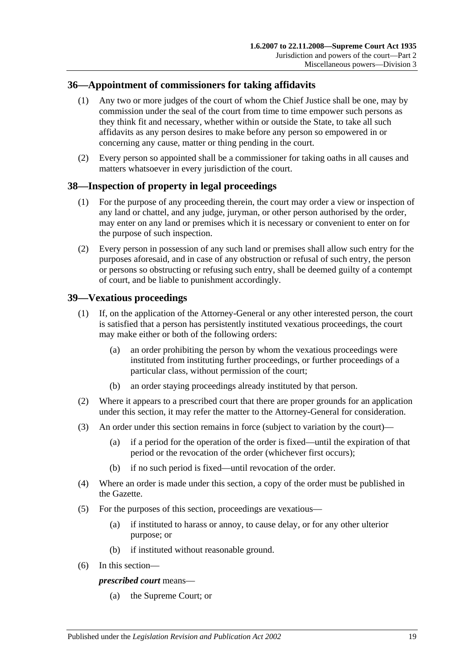# <span id="page-18-0"></span>**36—Appointment of commissioners for taking affidavits**

- (1) Any two or more judges of the court of whom the Chief Justice shall be one, may by commission under the seal of the court from time to time empower such persons as they think fit and necessary, whether within or outside the State, to take all such affidavits as any person desires to make before any person so empowered in or concerning any cause, matter or thing pending in the court.
- (2) Every person so appointed shall be a commissioner for taking oaths in all causes and matters whatsoever in every jurisdiction of the court.

# <span id="page-18-1"></span>**38—Inspection of property in legal proceedings**

- (1) For the purpose of any proceeding therein, the court may order a view or inspection of any land or chattel, and any judge, juryman, or other person authorised by the order, may enter on any land or premises which it is necessary or convenient to enter on for the purpose of such inspection.
- (2) Every person in possession of any such land or premises shall allow such entry for the purposes aforesaid, and in case of any obstruction or refusal of such entry, the person or persons so obstructing or refusing such entry, shall be deemed guilty of a contempt of court, and be liable to punishment accordingly.

# <span id="page-18-2"></span>**39—Vexatious proceedings**

- (1) If, on the application of the Attorney-General or any other interested person, the court is satisfied that a person has persistently instituted vexatious proceedings, the court may make either or both of the following orders:
	- (a) an order prohibiting the person by whom the vexatious proceedings were instituted from instituting further proceedings, or further proceedings of a particular class, without permission of the court;
	- (b) an order staying proceedings already instituted by that person.
- (2) Where it appears to a prescribed court that there are proper grounds for an application under this section, it may refer the matter to the Attorney-General for consideration.
- (3) An order under this section remains in force (subject to variation by the court)—
	- (a) if a period for the operation of the order is fixed—until the expiration of that period or the revocation of the order (whichever first occurs);
	- (b) if no such period is fixed—until revocation of the order.
- (4) Where an order is made under this section, a copy of the order must be published in the Gazette.
- (5) For the purposes of this section, proceedings are vexatious—
	- (a) if instituted to harass or annoy, to cause delay, or for any other ulterior purpose; or
	- (b) if instituted without reasonable ground.
- (6) In this section—

#### *prescribed court* means—

(a) the Supreme Court; or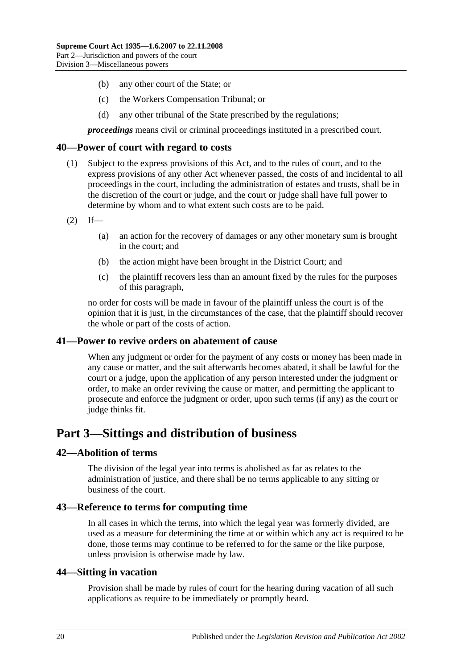- (b) any other court of the State; or
- (c) the Workers Compensation Tribunal; or
- (d) any other tribunal of the State prescribed by the regulations;

*proceedings* means civil or criminal proceedings instituted in a prescribed court.

### <span id="page-19-0"></span>**40—Power of court with regard to costs**

- (1) Subject to the express provisions of this Act, and to the rules of court, and to the express provisions of any other Act whenever passed, the costs of and incidental to all proceedings in the court, including the administration of estates and trusts, shall be in the discretion of the court or judge, and the court or judge shall have full power to determine by whom and to what extent such costs are to be paid.
- $(2)$  If—
	- (a) an action for the recovery of damages or any other monetary sum is brought in the court; and
	- (b) the action might have been brought in the District Court; and
	- (c) the plaintiff recovers less than an amount fixed by the rules for the purposes of this paragraph,

no order for costs will be made in favour of the plaintiff unless the court is of the opinion that it is just, in the circumstances of the case, that the plaintiff should recover the whole or part of the costs of action.

#### <span id="page-19-1"></span>**41—Power to revive orders on abatement of cause**

When any judgment or order for the payment of any costs or money has been made in any cause or matter, and the suit afterwards becomes abated, it shall be lawful for the court or a judge, upon the application of any person interested under the judgment or order, to make an order reviving the cause or matter, and permitting the applicant to prosecute and enforce the judgment or order, upon such terms (if any) as the court or judge thinks fit.

# <span id="page-19-2"></span>**Part 3—Sittings and distribution of business**

#### <span id="page-19-3"></span>**42—Abolition of terms**

The division of the legal year into terms is abolished as far as relates to the administration of justice, and there shall be no terms applicable to any sitting or business of the court.

#### <span id="page-19-4"></span>**43—Reference to terms for computing time**

In all cases in which the terms, into which the legal year was formerly divided, are used as a measure for determining the time at or within which any act is required to be done, those terms may continue to be referred to for the same or the like purpose, unless provision is otherwise made by law.

#### <span id="page-19-5"></span>**44—Sitting in vacation**

Provision shall be made by rules of court for the hearing during vacation of all such applications as require to be immediately or promptly heard.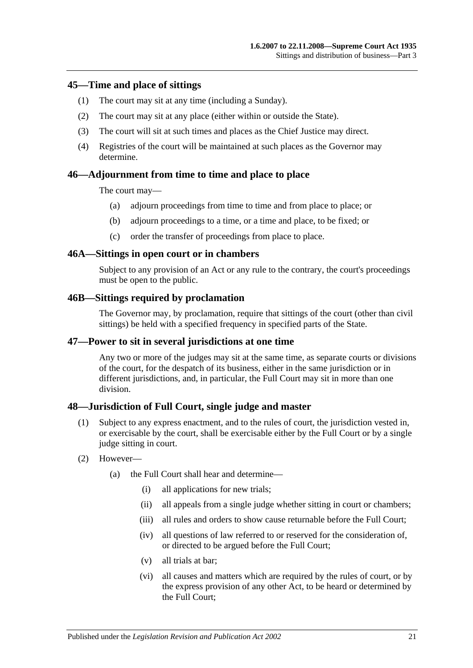## <span id="page-20-0"></span>**45—Time and place of sittings**

- (1) The court may sit at any time (including a Sunday).
- (2) The court may sit at any place (either within or outside the State).
- (3) The court will sit at such times and places as the Chief Justice may direct.
- (4) Registries of the court will be maintained at such places as the Governor may determine.

## <span id="page-20-1"></span>**46—Adjournment from time to time and place to place**

The court may—

- (a) adjourn proceedings from time to time and from place to place; or
- (b) adjourn proceedings to a time, or a time and place, to be fixed; or
- (c) order the transfer of proceedings from place to place.

#### <span id="page-20-2"></span>**46A—Sittings in open court or in chambers**

Subject to any provision of an Act or any rule to the contrary, the court's proceedings must be open to the public.

#### <span id="page-20-3"></span>**46B—Sittings required by proclamation**

The Governor may, by proclamation, require that sittings of the court (other than civil sittings) be held with a specified frequency in specified parts of the State.

#### <span id="page-20-4"></span>**47—Power to sit in several jurisdictions at one time**

Any two or more of the judges may sit at the same time, as separate courts or divisions of the court, for the despatch of its business, either in the same jurisdiction or in different jurisdictions, and, in particular, the Full Court may sit in more than one division.

#### <span id="page-20-5"></span>**48—Jurisdiction of Full Court, single judge and master**

- (1) Subject to any express enactment, and to the rules of court, the jurisdiction vested in, or exercisable by the court, shall be exercisable either by the Full Court or by a single judge sitting in court.
- (2) However—
	- (a) the Full Court shall hear and determine—
		- (i) all applications for new trials;
		- (ii) all appeals from a single judge whether sitting in court or chambers;
		- (iii) all rules and orders to show cause returnable before the Full Court:
		- (iv) all questions of law referred to or reserved for the consideration of, or directed to be argued before the Full Court;
		- (v) all trials at bar;
		- (vi) all causes and matters which are required by the rules of court, or by the express provision of any other Act, to be heard or determined by the Full Court;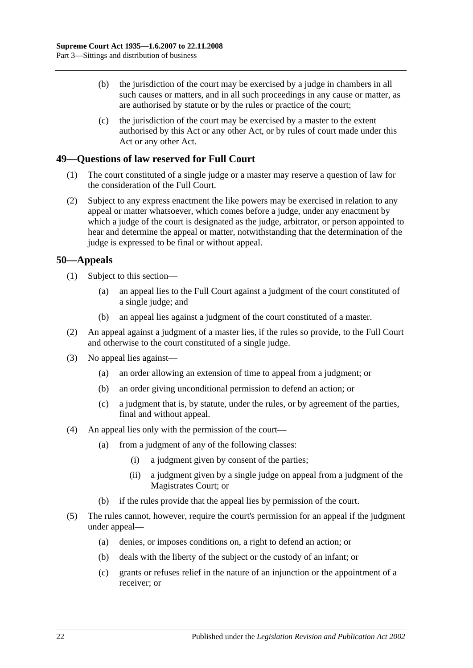- (b) the jurisdiction of the court may be exercised by a judge in chambers in all such causes or matters, and in all such proceedings in any cause or matter, as are authorised by statute or by the rules or practice of the court;
- (c) the jurisdiction of the court may be exercised by a master to the extent authorised by this Act or any other Act, or by rules of court made under this Act or any other Act.

# <span id="page-21-0"></span>**49—Questions of law reserved for Full Court**

- (1) The court constituted of a single judge or a master may reserve a question of law for the consideration of the Full Court.
- (2) Subject to any express enactment the like powers may be exercised in relation to any appeal or matter whatsoever, which comes before a judge, under any enactment by which a judge of the court is designated as the judge, arbitrator, or person appointed to hear and determine the appeal or matter, notwithstanding that the determination of the judge is expressed to be final or without appeal.

# <span id="page-21-1"></span>**50—Appeals**

- (1) Subject to this section—
	- (a) an appeal lies to the Full Court against a judgment of the court constituted of a single judge; and
	- (b) an appeal lies against a judgment of the court constituted of a master.
- (2) An appeal against a judgment of a master lies, if the rules so provide, to the Full Court and otherwise to the court constituted of a single judge.
- (3) No appeal lies against—
	- (a) an order allowing an extension of time to appeal from a judgment; or
	- (b) an order giving unconditional permission to defend an action; or
	- (c) a judgment that is, by statute, under the rules, or by agreement of the parties, final and without appeal.
- (4) An appeal lies only with the permission of the court—
	- (a) from a judgment of any of the following classes:
		- (i) a judgment given by consent of the parties;
		- (ii) a judgment given by a single judge on appeal from a judgment of the Magistrates Court; or
	- (b) if the rules provide that the appeal lies by permission of the court.
- (5) The rules cannot, however, require the court's permission for an appeal if the judgment under appeal—
	- (a) denies, or imposes conditions on, a right to defend an action; or
	- (b) deals with the liberty of the subject or the custody of an infant; or
	- (c) grants or refuses relief in the nature of an injunction or the appointment of a receiver; or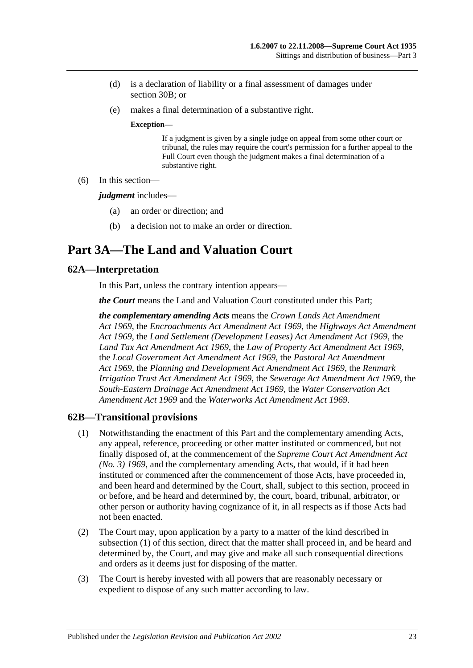- (d) is a declaration of liability or a final assessment of damages under section 30B; or
- (e) makes a final determination of a substantive right.

#### **Exception—**

If a judgment is given by a single judge on appeal from some other court or tribunal, the rules may require the court's permission for a further appeal to the Full Court even though the judgment makes a final determination of a substantive right.

(6) In this section—

*judgment* includes—

- (a) an order or direction; and
- (b) a decision not to make an order or direction.

# <span id="page-22-0"></span>**Part 3A—The Land and Valuation Court**

# <span id="page-22-1"></span>**62A—Interpretation**

In this Part, unless the contrary intention appears—

*the Court* means the Land and Valuation Court constituted under this Part;

*the complementary amending Acts* means the *[Crown Lands Act Amendment](http://www.legislation.sa.gov.au/index.aspx?action=legref&type=act&legtitle=Crown%20Lands%20Act%20Amendment%20Act%201969)  Act [1969](http://www.legislation.sa.gov.au/index.aspx?action=legref&type=act&legtitle=Crown%20Lands%20Act%20Amendment%20Act%201969)*, the *[Encroachments Act Amendment Act](http://www.legislation.sa.gov.au/index.aspx?action=legref&type=act&legtitle=Encroachments%20Act%20Amendment%20Act%201969) 1969*, the *[Highways Act Amendment](http://www.legislation.sa.gov.au/index.aspx?action=legref&type=act&legtitle=Highways%20Act%20Amendment%20Act%201969)  Act [1969](http://www.legislation.sa.gov.au/index.aspx?action=legref&type=act&legtitle=Highways%20Act%20Amendment%20Act%201969)*, the *[Land Settlement \(Development Leases\) Act Amendment Act](http://www.legislation.sa.gov.au/index.aspx?action=legref&type=act&legtitle=Land%20Settlement%20(Development%20Leases)%20Act%20Amendment%20Act%201969) 1969*, the *[Land Tax Act Amendment Act](http://www.legislation.sa.gov.au/index.aspx?action=legref&type=act&legtitle=Land%20Tax%20Act%20Amendment%20Act%201969) 1969*, the *[Law of Property Act Amendment Act](http://www.legislation.sa.gov.au/index.aspx?action=legref&type=act&legtitle=Law%20of%20Property%20Act%20Amendment%20Act%201969) 1969*, the *[Local Government Act Amendment Act](http://www.legislation.sa.gov.au/index.aspx?action=legref&type=act&legtitle=Local%20Government%20Act%20Amendment%20Act%201969) 1969*, the *[Pastoral Act Amendment](http://www.legislation.sa.gov.au/index.aspx?action=legref&type=act&legtitle=Pastoral%20Act%20Amendment%20Act%201969)  Act [1969](http://www.legislation.sa.gov.au/index.aspx?action=legref&type=act&legtitle=Pastoral%20Act%20Amendment%20Act%201969)*, the *[Planning and Development Act Amendment Act](http://www.legislation.sa.gov.au/index.aspx?action=legref&type=act&legtitle=Planning%20and%20Development%20Act%20Amendment%20Act%201969) 1969*, the *[Renmark](http://www.legislation.sa.gov.au/index.aspx?action=legref&type=act&legtitle=Renmark%20Irrigation%20Trust%20Act%20Amendment%20Act%201969)  [Irrigation Trust Act Amendment Act](http://www.legislation.sa.gov.au/index.aspx?action=legref&type=act&legtitle=Renmark%20Irrigation%20Trust%20Act%20Amendment%20Act%201969) 1969*, the *[Sewerage Act Amendment Act](http://www.legislation.sa.gov.au/index.aspx?action=legref&type=act&legtitle=Sewerage%20Act%20Amendment%20Act%201969) 1969*, the *[South-Eastern Drainage Act Amendment Act](http://www.legislation.sa.gov.au/index.aspx?action=legref&type=act&legtitle=South-Eastern%20Drainage%20Act%20Amendment%20Act%201969) 1969*, the *[Water Conservation Act](http://www.legislation.sa.gov.au/index.aspx?action=legref&type=act&legtitle=Water%20Conservation%20Act%20Amendment%20Act%201969)  [Amendment Act](http://www.legislation.sa.gov.au/index.aspx?action=legref&type=act&legtitle=Water%20Conservation%20Act%20Amendment%20Act%201969) 1969* and the *[Waterworks Act Amendment Act](http://www.legislation.sa.gov.au/index.aspx?action=legref&type=act&legtitle=Waterworks%20Act%20Amendment%20Act%201969) 1969*.

#### <span id="page-22-3"></span><span id="page-22-2"></span>**62B—Transitional provisions**

- (1) Notwithstanding the enactment of this Part and the complementary amending Acts, any appeal, reference, proceeding or other matter instituted or commenced, but not finally disposed of, at the commencement of the *[Supreme Court Act Amendment Act](http://www.legislation.sa.gov.au/index.aspx?action=legref&type=act&legtitle=Supreme%20Court%20Act%20Amendment%20Act%20(No.%203)%201969)  [\(No. 3\)](http://www.legislation.sa.gov.au/index.aspx?action=legref&type=act&legtitle=Supreme%20Court%20Act%20Amendment%20Act%20(No.%203)%201969) 1969*, and the complementary amending Acts, that would, if it had been instituted or commenced after the commencement of those Acts, have proceeded in, and been heard and determined by the Court, shall, subject to this section, proceed in or before, and be heard and determined by, the court, board, tribunal, arbitrator, or other person or authority having cognizance of it, in all respects as if those Acts had not been enacted.
- (2) The Court may, upon application by a party to a matter of the kind described in [subsection](#page-22-3) (1) of this section, direct that the matter shall proceed in, and be heard and determined by, the Court, and may give and make all such consequential directions and orders as it deems just for disposing of the matter.
- (3) The Court is hereby invested with all powers that are reasonably necessary or expedient to dispose of any such matter according to law.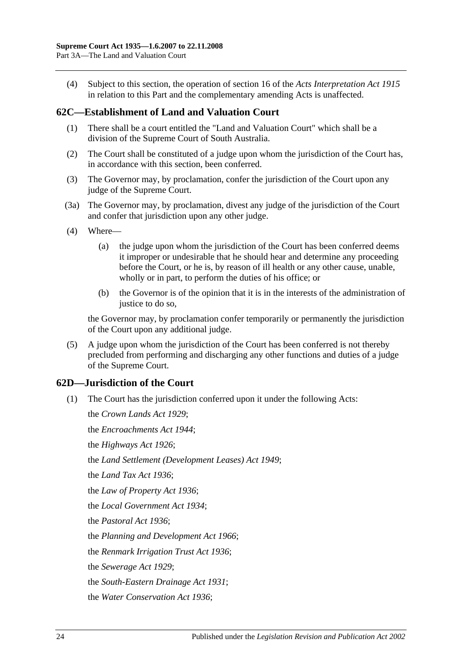(4) Subject to this section, the operation of section 16 of the *[Acts Interpretation Act](http://www.legislation.sa.gov.au/index.aspx?action=legref&type=act&legtitle=Acts%20Interpretation%20Act%201915) 1915* in relation to this Part and the complementary amending Acts is unaffected.

## <span id="page-23-0"></span>**62C—Establishment of Land and Valuation Court**

- (1) There shall be a court entitled the "Land and Valuation Court" which shall be a division of the Supreme Court of South Australia.
- (2) The Court shall be constituted of a judge upon whom the jurisdiction of the Court has, in accordance with this section, been conferred.
- (3) The Governor may, by proclamation, confer the jurisdiction of the Court upon any judge of the Supreme Court.
- (3a) The Governor may, by proclamation, divest any judge of the jurisdiction of the Court and confer that jurisdiction upon any other judge.
- (4) Where—
	- (a) the judge upon whom the jurisdiction of the Court has been conferred deems it improper or undesirable that he should hear and determine any proceeding before the Court, or he is, by reason of ill health or any other cause, unable, wholly or in part, to perform the duties of his office; or
	- (b) the Governor is of the opinion that it is in the interests of the administration of justice to do so.

the Governor may, by proclamation confer temporarily or permanently the jurisdiction of the Court upon any additional judge.

(5) A judge upon whom the jurisdiction of the Court has been conferred is not thereby precluded from performing and discharging any other functions and duties of a judge of the Supreme Court.

# <span id="page-23-1"></span>**62D—Jurisdiction of the Court**

(1) The Court has the jurisdiction conferred upon it under the following Acts:

the *[Crown Lands Act](http://www.legislation.sa.gov.au/index.aspx?action=legref&type=act&legtitle=Crown%20Lands%20Act%201929) 1929*; the *[Encroachments Act](http://www.legislation.sa.gov.au/index.aspx?action=legref&type=act&legtitle=Encroachments%20Act%201944) 1944*; the *[Highways Act](http://www.legislation.sa.gov.au/index.aspx?action=legref&type=act&legtitle=Highways%20Act%201926) 1926*; the *[Land Settlement \(Development Leases\) Act](http://www.legislation.sa.gov.au/index.aspx?action=legref&type=act&legtitle=Land%20Settlement%20(Development%20Leases)%20Act%201949) 1949*; the *[Land Tax Act](http://www.legislation.sa.gov.au/index.aspx?action=legref&type=act&legtitle=Land%20Tax%20Act%201936) 1936*; the *[Law of Property Act](http://www.legislation.sa.gov.au/index.aspx?action=legref&type=act&legtitle=Law%20of%20Property%20Act%201936) 1936*; the *[Local Government Act](http://www.legislation.sa.gov.au/index.aspx?action=legref&type=act&legtitle=Local%20Government%20Act%201934) 1934*; the *[Pastoral Act](http://www.legislation.sa.gov.au/index.aspx?action=legref&type=act&legtitle=Pastoral%20Act%201936) 1936*; the *[Planning and Development Act](http://www.legislation.sa.gov.au/index.aspx?action=legref&type=act&legtitle=Planning%20and%20Development%20Act%201966) 1966*; the *[Renmark Irrigation Trust Act](http://www.legislation.sa.gov.au/index.aspx?action=legref&type=act&legtitle=Renmark%20Irrigation%20Trust%20Act%201936) 1936*; the *[Sewerage Act](http://www.legislation.sa.gov.au/index.aspx?action=legref&type=act&legtitle=Sewerage%20Act%201929) 1929*; the *[South-Eastern Drainage Act](http://www.legislation.sa.gov.au/index.aspx?action=legref&type=act&legtitle=South-Eastern%20Drainage%20Act%201931) 1931*; the *[Water Conservation Act](http://www.legislation.sa.gov.au/index.aspx?action=legref&type=act&legtitle=Water%20Conservation%20Act%201936) 1936*;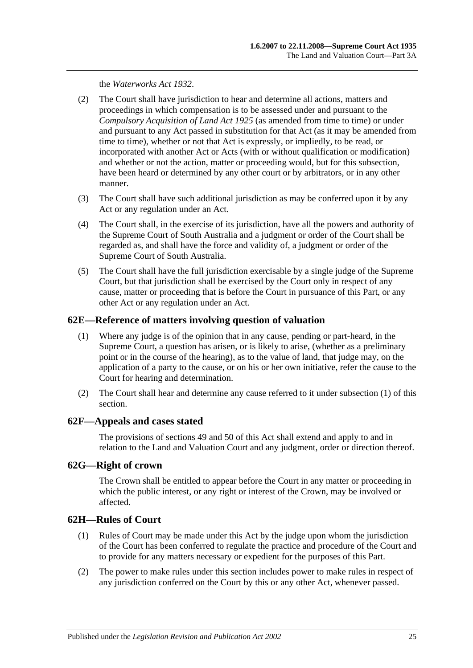the *[Waterworks Act](http://www.legislation.sa.gov.au/index.aspx?action=legref&type=act&legtitle=Waterworks%20Act%201932) 1932*.

- (2) The Court shall have jurisdiction to hear and determine all actions, matters and proceedings in which compensation is to be assessed under and pursuant to the *[Compulsory Acquisition of Land Act](http://www.legislation.sa.gov.au/index.aspx?action=legref&type=act&legtitle=Compulsory%20Acquisition%20of%20Land%20Act%201925) 1925* (as amended from time to time) or under and pursuant to any Act passed in substitution for that Act (as it may be amended from time to time), whether or not that Act is expressly, or impliedly, to be read, or incorporated with another Act or Acts (with or without qualification or modification) and whether or not the action, matter or proceeding would, but for this subsection, have been heard or determined by any other court or by arbitrators, or in any other manner.
- (3) The Court shall have such additional jurisdiction as may be conferred upon it by any Act or any regulation under an Act.
- (4) The Court shall, in the exercise of its jurisdiction, have all the powers and authority of the Supreme Court of South Australia and a judgment or order of the Court shall be regarded as, and shall have the force and validity of, a judgment or order of the Supreme Court of South Australia.
- (5) The Court shall have the full jurisdiction exercisable by a single judge of the Supreme Court, but that jurisdiction shall be exercised by the Court only in respect of any cause, matter or proceeding that is before the Court in pursuance of this Part, or any other Act or any regulation under an Act.

## <span id="page-24-4"></span><span id="page-24-0"></span>**62E—Reference of matters involving question of valuation**

- (1) Where any judge is of the opinion that in any cause, pending or part-heard, in the Supreme Court, a question has arisen, or is likely to arise, (whether as a preliminary point or in the course of the hearing), as to the value of land, that judge may, on the application of a party to the cause, or on his or her own initiative, refer the cause to the Court for hearing and determination.
- (2) The Court shall hear and determine any cause referred to it under [subsection](#page-24-4) (1) of this section.

#### <span id="page-24-1"></span>**62F—Appeals and cases stated**

The provisions of [sections](#page-21-0) 49 and 50 of this Act shall extend and apply to and in relation to the Land and Valuation Court and any judgment, order or direction thereof.

# <span id="page-24-2"></span>**62G—Right of crown**

The Crown shall be entitled to appear before the Court in any matter or proceeding in which the public interest, or any right or interest of the Crown, may be involved or affected.

# <span id="page-24-3"></span>**62H—Rules of Court**

- (1) Rules of Court may be made under this Act by the judge upon whom the jurisdiction of the Court has been conferred to regulate the practice and procedure of the Court and to provide for any matters necessary or expedient for the purposes of this Part.
- (2) The power to make rules under this section includes power to make rules in respect of any jurisdiction conferred on the Court by this or any other Act, whenever passed.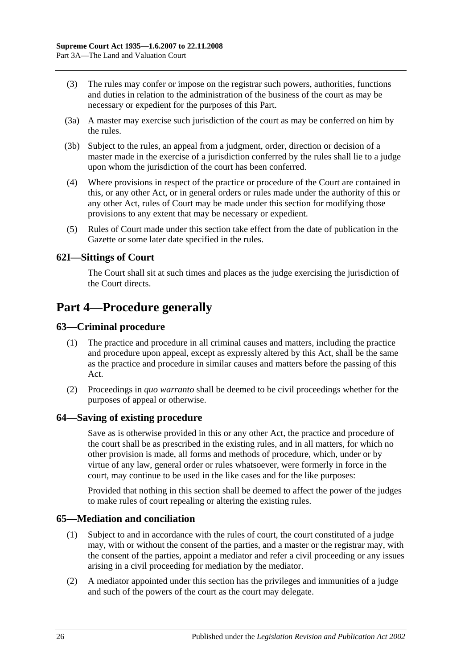- (3) The rules may confer or impose on the registrar such powers, authorities, functions and duties in relation to the administration of the business of the court as may be necessary or expedient for the purposes of this Part.
- (3a) A master may exercise such jurisdiction of the court as may be conferred on him by the rules.
- (3b) Subject to the rules, an appeal from a judgment, order, direction or decision of a master made in the exercise of a jurisdiction conferred by the rules shall lie to a judge upon whom the jurisdiction of the court has been conferred.
- (4) Where provisions in respect of the practice or procedure of the Court are contained in this, or any other Act, or in general orders or rules made under the authority of this or any other Act, rules of Court may be made under this section for modifying those provisions to any extent that may be necessary or expedient.
- (5) Rules of Court made under this section take effect from the date of publication in the Gazette or some later date specified in the rules.

# <span id="page-25-0"></span>**62I—Sittings of Court**

The Court shall sit at such times and places as the judge exercising the jurisdiction of the Court directs.

# <span id="page-25-1"></span>**Part 4—Procedure generally**

# <span id="page-25-2"></span>**63—Criminal procedure**

- (1) The practice and procedure in all criminal causes and matters, including the practice and procedure upon appeal, except as expressly altered by this Act, shall be the same as the practice and procedure in similar causes and matters before the passing of this Act.
- (2) Proceedings in *quo warranto* shall be deemed to be civil proceedings whether for the purposes of appeal or otherwise.

#### <span id="page-25-3"></span>**64—Saving of existing procedure**

Save as is otherwise provided in this or any other Act, the practice and procedure of the court shall be as prescribed in the existing rules, and in all matters, for which no other provision is made, all forms and methods of procedure, which, under or by virtue of any law, general order or rules whatsoever, were formerly in force in the court, may continue to be used in the like cases and for the like purposes:

Provided that nothing in this section shall be deemed to affect the power of the judges to make rules of court repealing or altering the existing rules.

#### <span id="page-25-4"></span>**65—Mediation and conciliation**

- (1) Subject to and in accordance with the rules of court, the court constituted of a judge may, with or without the consent of the parties, and a master or the registrar may, with the consent of the parties, appoint a mediator and refer a civil proceeding or any issues arising in a civil proceeding for mediation by the mediator.
- (2) A mediator appointed under this section has the privileges and immunities of a judge and such of the powers of the court as the court may delegate.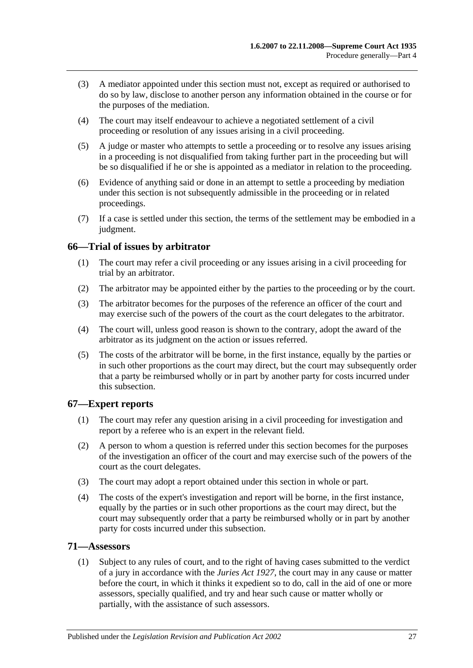- (3) A mediator appointed under this section must not, except as required or authorised to do so by law, disclose to another person any information obtained in the course or for the purposes of the mediation.
- (4) The court may itself endeavour to achieve a negotiated settlement of a civil proceeding or resolution of any issues arising in a civil proceeding.
- (5) A judge or master who attempts to settle a proceeding or to resolve any issues arising in a proceeding is not disqualified from taking further part in the proceeding but will be so disqualified if he or she is appointed as a mediator in relation to the proceeding.
- (6) Evidence of anything said or done in an attempt to settle a proceeding by mediation under this section is not subsequently admissible in the proceeding or in related proceedings.
- (7) If a case is settled under this section, the terms of the settlement may be embodied in a judgment.

# <span id="page-26-0"></span>**66—Trial of issues by arbitrator**

- (1) The court may refer a civil proceeding or any issues arising in a civil proceeding for trial by an arbitrator.
- (2) The arbitrator may be appointed either by the parties to the proceeding or by the court.
- (3) The arbitrator becomes for the purposes of the reference an officer of the court and may exercise such of the powers of the court as the court delegates to the arbitrator.
- (4) The court will, unless good reason is shown to the contrary, adopt the award of the arbitrator as its judgment on the action or issues referred.
- (5) The costs of the arbitrator will be borne, in the first instance, equally by the parties or in such other proportions as the court may direct, but the court may subsequently order that a party be reimbursed wholly or in part by another party for costs incurred under this subsection.

# <span id="page-26-1"></span>**67—Expert reports**

- (1) The court may refer any question arising in a civil proceeding for investigation and report by a referee who is an expert in the relevant field.
- (2) A person to whom a question is referred under this section becomes for the purposes of the investigation an officer of the court and may exercise such of the powers of the court as the court delegates.
- (3) The court may adopt a report obtained under this section in whole or part.
- (4) The costs of the expert's investigation and report will be borne, in the first instance, equally by the parties or in such other proportions as the court may direct, but the court may subsequently order that a party be reimbursed wholly or in part by another party for costs incurred under this subsection.

#### <span id="page-26-2"></span>**71—Assessors**

(1) Subject to any rules of court, and to the right of having cases submitted to the verdict of a jury in accordance with the *[Juries Act](http://www.legislation.sa.gov.au/index.aspx?action=legref&type=act&legtitle=Juries%20Act%201927) 1927*, the court may in any cause or matter before the court, in which it thinks it expedient so to do, call in the aid of one or more assessors, specially qualified, and try and hear such cause or matter wholly or partially, with the assistance of such assessors.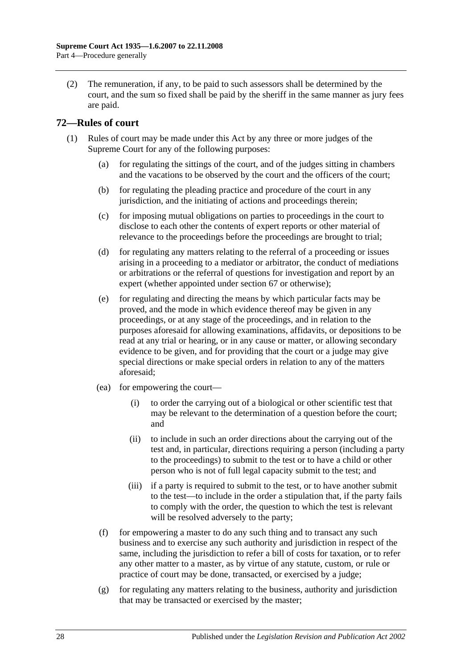(2) The remuneration, if any, to be paid to such assessors shall be determined by the court, and the sum so fixed shall be paid by the sheriff in the same manner as jury fees are paid.

# <span id="page-27-0"></span>**72—Rules of court**

- (1) Rules of court may be made under this Act by any three or more judges of the Supreme Court for any of the following purposes:
	- (a) for regulating the sittings of the court, and of the judges sitting in chambers and the vacations to be observed by the court and the officers of the court;
	- (b) for regulating the pleading practice and procedure of the court in any jurisdiction, and the initiating of actions and proceedings therein;
	- (c) for imposing mutual obligations on parties to proceedings in the court to disclose to each other the contents of expert reports or other material of relevance to the proceedings before the proceedings are brought to trial;
	- (d) for regulating any matters relating to the referral of a proceeding or issues arising in a proceeding to a mediator or arbitrator, the conduct of mediations or arbitrations or the referral of questions for investigation and report by an expert (whether appointed under [section](#page-26-1) 67 or otherwise);
	- (e) for regulating and directing the means by which particular facts may be proved, and the mode in which evidence thereof may be given in any proceedings, or at any stage of the proceedings, and in relation to the purposes aforesaid for allowing examinations, affidavits, or depositions to be read at any trial or hearing, or in any cause or matter, or allowing secondary evidence to be given, and for providing that the court or a judge may give special directions or make special orders in relation to any of the matters aforesaid;
	- (ea) for empowering the court—
		- (i) to order the carrying out of a biological or other scientific test that may be relevant to the determination of a question before the court; and
		- (ii) to include in such an order directions about the carrying out of the test and, in particular, directions requiring a person (including a party to the proceedings) to submit to the test or to have a child or other person who is not of full legal capacity submit to the test; and
		- (iii) if a party is required to submit to the test, or to have another submit to the test—to include in the order a stipulation that, if the party fails to comply with the order, the question to which the test is relevant will be resolved adversely to the party;
	- (f) for empowering a master to do any such thing and to transact any such business and to exercise any such authority and jurisdiction in respect of the same, including the jurisdiction to refer a bill of costs for taxation, or to refer any other matter to a master, as by virtue of any statute, custom, or rule or practice of court may be done, transacted, or exercised by a judge;
	- $(g)$  for regulating any matters relating to the business, authority and jurisdiction that may be transacted or exercised by the master;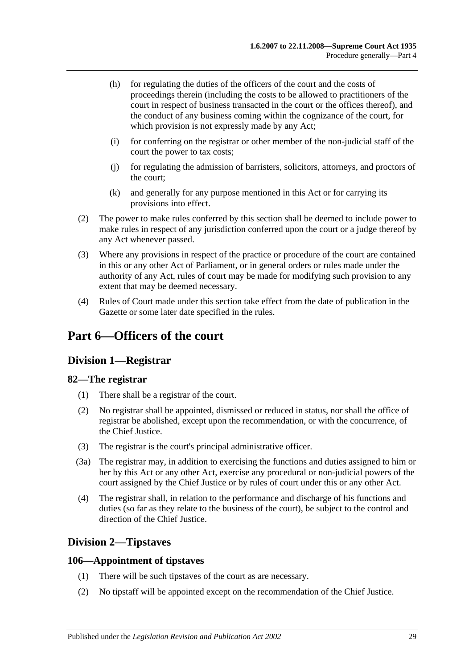- (h) for regulating the duties of the officers of the court and the costs of proceedings therein (including the costs to be allowed to practitioners of the court in respect of business transacted in the court or the offices thereof), and the conduct of any business coming within the cognizance of the court, for which provision is not expressly made by any Act;
- (i) for conferring on the registrar or other member of the non-judicial staff of the court the power to tax costs;
- (j) for regulating the admission of barristers, solicitors, attorneys, and proctors of the court;
- (k) and generally for any purpose mentioned in this Act or for carrying its provisions into effect.
- (2) The power to make rules conferred by this section shall be deemed to include power to make rules in respect of any jurisdiction conferred upon the court or a judge thereof by any Act whenever passed.
- (3) Where any provisions in respect of the practice or procedure of the court are contained in this or any other Act of Parliament, or in general orders or rules made under the authority of any Act, rules of court may be made for modifying such provision to any extent that may be deemed necessary.
- (4) Rules of Court made under this section take effect from the date of publication in the Gazette or some later date specified in the rules.

# <span id="page-28-1"></span><span id="page-28-0"></span>**Part 6—Officers of the court**

# **Division 1—Registrar**

# <span id="page-28-2"></span>**82—The registrar**

- (1) There shall be a registrar of the court.
- (2) No registrar shall be appointed, dismissed or reduced in status, nor shall the office of registrar be abolished, except upon the recommendation, or with the concurrence, of the Chief Justice.
- (3) The registrar is the court's principal administrative officer.
- (3a) The registrar may, in addition to exercising the functions and duties assigned to him or her by this Act or any other Act, exercise any procedural or non-judicial powers of the court assigned by the Chief Justice or by rules of court under this or any other Act.
- (4) The registrar shall, in relation to the performance and discharge of his functions and duties (so far as they relate to the business of the court), be subject to the control and direction of the Chief Justice.

# <span id="page-28-3"></span>**Division 2—Tipstaves**

# <span id="page-28-4"></span>**106—Appointment of tipstaves**

- (1) There will be such tipstaves of the court as are necessary.
- (2) No tipstaff will be appointed except on the recommendation of the Chief Justice.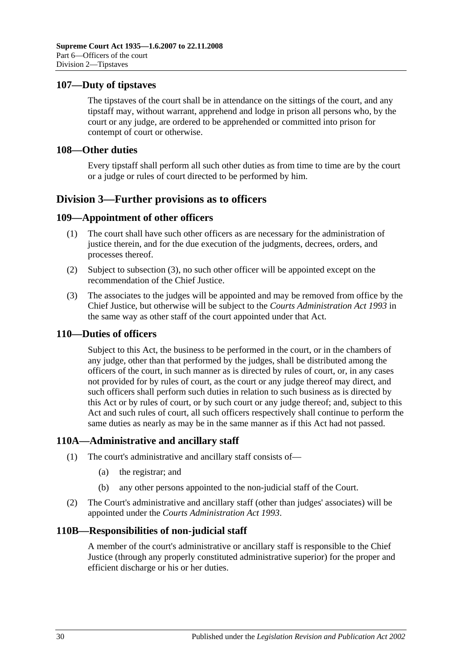## <span id="page-29-0"></span>**107—Duty of tipstaves**

The tipstaves of the court shall be in attendance on the sittings of the court, and any tipstaff may, without warrant, apprehend and lodge in prison all persons who, by the court or any judge, are ordered to be apprehended or committed into prison for contempt of court or otherwise.

### <span id="page-29-1"></span>**108—Other duties**

Every tipstaff shall perform all such other duties as from time to time are by the court or a judge or rules of court directed to be performed by him.

# <span id="page-29-2"></span>**Division 3—Further provisions as to officers**

## <span id="page-29-3"></span>**109—Appointment of other officers**

- (1) The court shall have such other officers as are necessary for the administration of justice therein, and for the due execution of the judgments, decrees, orders, and processes thereof.
- (2) Subject to [subsection](#page-29-7) (3), no such other officer will be appointed except on the recommendation of the Chief Justice.
- <span id="page-29-7"></span>(3) The associates to the judges will be appointed and may be removed from office by the Chief Justice, but otherwise will be subject to the *[Courts Administration Act](http://www.legislation.sa.gov.au/index.aspx?action=legref&type=act&legtitle=Courts%20Administration%20Act%201993) 1993* in the same way as other staff of the court appointed under that Act.

#### <span id="page-29-4"></span>**110—Duties of officers**

Subject to this Act, the business to be performed in the court, or in the chambers of any judge, other than that performed by the judges, shall be distributed among the officers of the court, in such manner as is directed by rules of court, or, in any cases not provided for by rules of court, as the court or any judge thereof may direct, and such officers shall perform such duties in relation to such business as is directed by this Act or by rules of court, or by such court or any judge thereof; and, subject to this Act and such rules of court, all such officers respectively shall continue to perform the same duties as nearly as may be in the same manner as if this Act had not passed.

#### <span id="page-29-5"></span>**110A—Administrative and ancillary staff**

- (1) The court's administrative and ancillary staff consists of—
	- (a) the registrar; and
	- (b) any other persons appointed to the non-judicial staff of the Court.
- (2) The Court's administrative and ancillary staff (other than judges' associates) will be appointed under the *[Courts Administration Act](http://www.legislation.sa.gov.au/index.aspx?action=legref&type=act&legtitle=Courts%20Administration%20Act%201993) 1993*.

#### <span id="page-29-6"></span>**110B—Responsibilities of non-judicial staff**

A member of the court's administrative or ancillary staff is responsible to the Chief Justice (through any properly constituted administrative superior) for the proper and efficient discharge or his or her duties.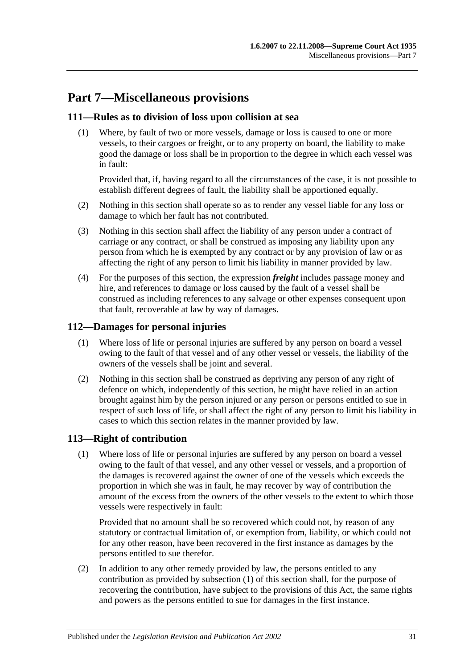# <span id="page-30-0"></span>**Part 7—Miscellaneous provisions**

# <span id="page-30-1"></span>**111—Rules as to division of loss upon collision at sea**

(1) Where, by fault of two or more vessels, damage or loss is caused to one or more vessels, to their cargoes or freight, or to any property on board, the liability to make good the damage or loss shall be in proportion to the degree in which each vessel was in fault:

Provided that, if, having regard to all the circumstances of the case, it is not possible to establish different degrees of fault, the liability shall be apportioned equally.

- (2) Nothing in this section shall operate so as to render any vessel liable for any loss or damage to which her fault has not contributed.
- (3) Nothing in this section shall affect the liability of any person under a contract of carriage or any contract, or shall be construed as imposing any liability upon any person from which he is exempted by any contract or by any provision of law or as affecting the right of any person to limit his liability in manner provided by law.
- (4) For the purposes of this section, the expression *freight* includes passage money and hire, and references to damage or loss caused by the fault of a vessel shall be construed as including references to any salvage or other expenses consequent upon that fault, recoverable at law by way of damages.

# <span id="page-30-2"></span>**112—Damages for personal injuries**

- (1) Where loss of life or personal injuries are suffered by any person on board a vessel owing to the fault of that vessel and of any other vessel or vessels, the liability of the owners of the vessels shall be joint and several.
- (2) Nothing in this section shall be construed as depriving any person of any right of defence on which, independently of this section, he might have relied in an action brought against him by the person injured or any person or persons entitled to sue in respect of such loss of life, or shall affect the right of any person to limit his liability in cases to which this section relates in the manner provided by law.

# <span id="page-30-4"></span><span id="page-30-3"></span>**113—Right of contribution**

(1) Where loss of life or personal injuries are suffered by any person on board a vessel owing to the fault of that vessel, and any other vessel or vessels, and a proportion of the damages is recovered against the owner of one of the vessels which exceeds the proportion in which she was in fault, he may recover by way of contribution the amount of the excess from the owners of the other vessels to the extent to which those vessels were respectively in fault:

Provided that no amount shall be so recovered which could not, by reason of any statutory or contractual limitation of, or exemption from, liability, or which could not for any other reason, have been recovered in the first instance as damages by the persons entitled to sue therefor.

(2) In addition to any other remedy provided by law, the persons entitled to any contribution as provided by [subsection](#page-30-4) (1) of this section shall, for the purpose of recovering the contribution, have subject to the provisions of this Act, the same rights and powers as the persons entitled to sue for damages in the first instance.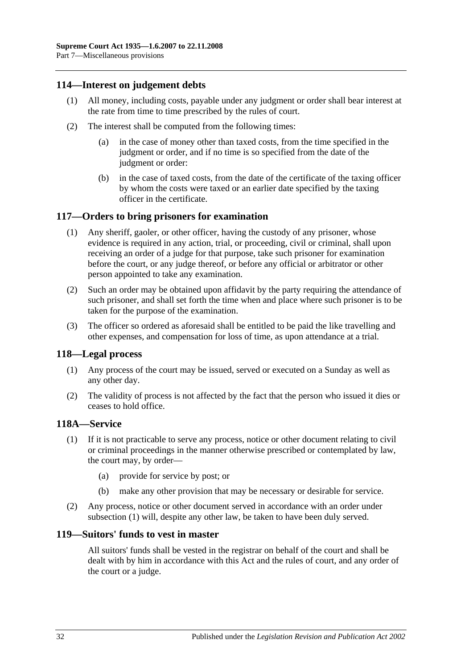## <span id="page-31-0"></span>**114—Interest on judgement debts**

- (1) All money, including costs, payable under any judgment or order shall bear interest at the rate from time to time prescribed by the rules of court.
- (2) The interest shall be computed from the following times:
	- (a) in the case of money other than taxed costs, from the time specified in the judgment or order, and if no time is so specified from the date of the judgment or order:
	- (b) in the case of taxed costs, from the date of the certificate of the taxing officer by whom the costs were taxed or an earlier date specified by the taxing officer in the certificate.

## <span id="page-31-1"></span>**117—Orders to bring prisoners for examination**

- (1) Any sheriff, gaoler, or other officer, having the custody of any prisoner, whose evidence is required in any action, trial, or proceeding, civil or criminal, shall upon receiving an order of a judge for that purpose, take such prisoner for examination before the court, or any judge thereof, or before any official or arbitrator or other person appointed to take any examination.
- (2) Such an order may be obtained upon affidavit by the party requiring the attendance of such prisoner, and shall set forth the time when and place where such prisoner is to be taken for the purpose of the examination.
- (3) The officer so ordered as aforesaid shall be entitled to be paid the like travelling and other expenses, and compensation for loss of time, as upon attendance at a trial.

#### <span id="page-31-2"></span>**118—Legal process**

- (1) Any process of the court may be issued, served or executed on a Sunday as well as any other day.
- (2) The validity of process is not affected by the fact that the person who issued it dies or ceases to hold office.

#### <span id="page-31-5"></span><span id="page-31-3"></span>**118A—Service**

- (1) If it is not practicable to serve any process, notice or other document relating to civil or criminal proceedings in the manner otherwise prescribed or contemplated by law, the court may, by order—
	- (a) provide for service by post; or
	- (b) make any other provision that may be necessary or desirable for service.
- (2) Any process, notice or other document served in accordance with an order under [subsection](#page-31-5) (1) will, despite any other law, be taken to have been duly served.

#### <span id="page-31-4"></span>**119—Suitors' funds to vest in master**

All suitors' funds shall be vested in the registrar on behalf of the court and shall be dealt with by him in accordance with this Act and the rules of court, and any order of the court or a judge.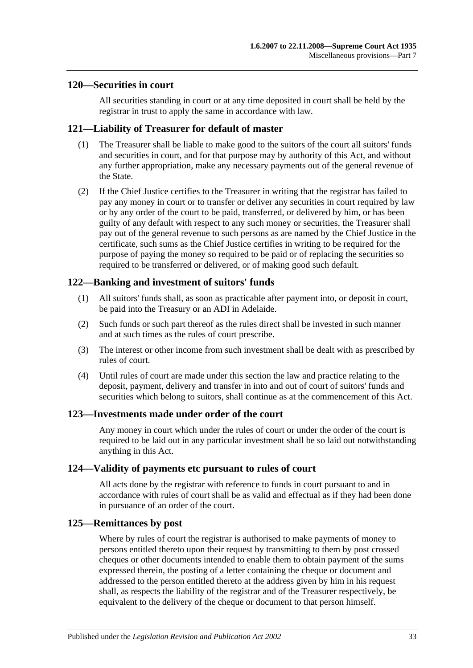### <span id="page-32-0"></span>**120—Securities in court**

All securities standing in court or at any time deposited in court shall be held by the registrar in trust to apply the same in accordance with law.

## <span id="page-32-1"></span>**121—Liability of Treasurer for default of master**

- (1) The Treasurer shall be liable to make good to the suitors of the court all suitors' funds and securities in court, and for that purpose may by authority of this Act, and without any further appropriation, make any necessary payments out of the general revenue of the State.
- (2) If the Chief Justice certifies to the Treasurer in writing that the registrar has failed to pay any money in court or to transfer or deliver any securities in court required by law or by any order of the court to be paid, transferred, or delivered by him, or has been guilty of any default with respect to any such money or securities, the Treasurer shall pay out of the general revenue to such persons as are named by the Chief Justice in the certificate, such sums as the Chief Justice certifies in writing to be required for the purpose of paying the money so required to be paid or of replacing the securities so required to be transferred or delivered, or of making good such default.

# <span id="page-32-2"></span>**122—Banking and investment of suitors' funds**

- (1) All suitors' funds shall, as soon as practicable after payment into, or deposit in court, be paid into the Treasury or an ADI in Adelaide.
- (2) Such funds or such part thereof as the rules direct shall be invested in such manner and at such times as the rules of court prescribe.
- (3) The interest or other income from such investment shall be dealt with as prescribed by rules of court.
- (4) Until rules of court are made under this section the law and practice relating to the deposit, payment, delivery and transfer in into and out of court of suitors' funds and securities which belong to suitors, shall continue as at the commencement of this Act.

#### <span id="page-32-3"></span>**123—Investments made under order of the court**

Any money in court which under the rules of court or under the order of the court is required to be laid out in any particular investment shall be so laid out notwithstanding anything in this Act.

#### <span id="page-32-4"></span>**124—Validity of payments etc pursuant to rules of court**

All acts done by the registrar with reference to funds in court pursuant to and in accordance with rules of court shall be as valid and effectual as if they had been done in pursuance of an order of the court.

#### <span id="page-32-5"></span>**125—Remittances by post**

Where by rules of court the registrar is authorised to make payments of money to persons entitled thereto upon their request by transmitting to them by post crossed cheques or other documents intended to enable them to obtain payment of the sums expressed therein, the posting of a letter containing the cheque or document and addressed to the person entitled thereto at the address given by him in his request shall, as respects the liability of the registrar and of the Treasurer respectively, be equivalent to the delivery of the cheque or document to that person himself.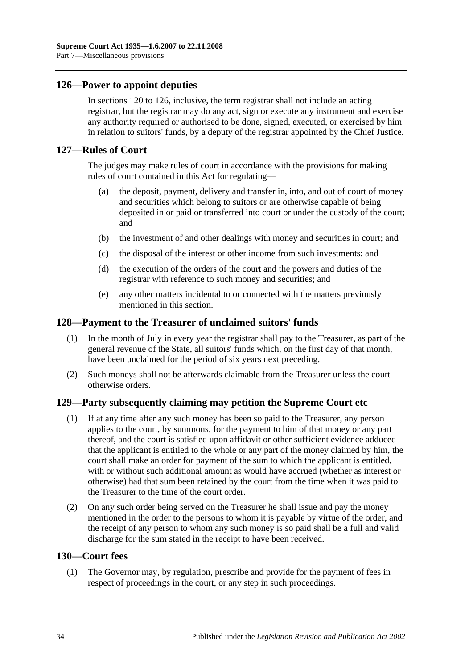# <span id="page-33-0"></span>**126—Power to appoint deputies**

In [sections](#page-32-0) 120 to 126, inclusive, the term registrar shall not include an acting registrar, but the registrar may do any act, sign or execute any instrument and exercise any authority required or authorised to be done, signed, executed, or exercised by him in relation to suitors' funds, by a deputy of the registrar appointed by the Chief Justice.

### <span id="page-33-1"></span>**127—Rules of Court**

The judges may make rules of court in accordance with the provisions for making rules of court contained in this Act for regulating—

- (a) the deposit, payment, delivery and transfer in, into, and out of court of money and securities which belong to suitors or are otherwise capable of being deposited in or paid or transferred into court or under the custody of the court; and
- (b) the investment of and other dealings with money and securities in court; and
- (c) the disposal of the interest or other income from such investments; and
- (d) the execution of the orders of the court and the powers and duties of the registrar with reference to such money and securities; and
- (e) any other matters incidental to or connected with the matters previously mentioned in this section.

#### <span id="page-33-2"></span>**128—Payment to the Treasurer of unclaimed suitors' funds**

- (1) In the month of July in every year the registrar shall pay to the Treasurer, as part of the general revenue of the State, all suitors' funds which, on the first day of that month, have been unclaimed for the period of six years next preceding.
- (2) Such moneys shall not be afterwards claimable from the Treasurer unless the court otherwise orders.

#### <span id="page-33-3"></span>**129—Party subsequently claiming may petition the Supreme Court etc**

- (1) If at any time after any such money has been so paid to the Treasurer, any person applies to the court, by summons, for the payment to him of that money or any part thereof, and the court is satisfied upon affidavit or other sufficient evidence adduced that the applicant is entitled to the whole or any part of the money claimed by him, the court shall make an order for payment of the sum to which the applicant is entitled, with or without such additional amount as would have accrued (whether as interest or otherwise) had that sum been retained by the court from the time when it was paid to the Treasurer to the time of the court order.
- (2) On any such order being served on the Treasurer he shall issue and pay the money mentioned in the order to the persons to whom it is payable by virtue of the order, and the receipt of any person to whom any such money is so paid shall be a full and valid discharge for the sum stated in the receipt to have been received.

## <span id="page-33-4"></span>**130—Court fees**

(1) The Governor may, by regulation, prescribe and provide for the payment of fees in respect of proceedings in the court, or any step in such proceedings.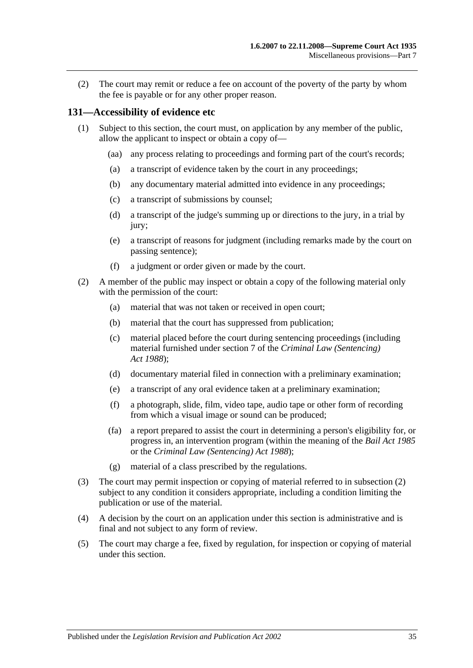(2) The court may remit or reduce a fee on account of the poverty of the party by whom the fee is payable or for any other proper reason.

## <span id="page-34-0"></span>**131—Accessibility of evidence etc**

- (1) Subject to this section, the court must, on application by any member of the public, allow the applicant to inspect or obtain a copy of—
	- (aa) any process relating to proceedings and forming part of the court's records;
	- (a) a transcript of evidence taken by the court in any proceedings;
	- (b) any documentary material admitted into evidence in any proceedings;
	- (c) a transcript of submissions by counsel;
	- (d) a transcript of the judge's summing up or directions to the jury, in a trial by jury;
	- (e) a transcript of reasons for judgment (including remarks made by the court on passing sentence);
	- (f) a judgment or order given or made by the court.
- <span id="page-34-1"></span>(2) A member of the public may inspect or obtain a copy of the following material only with the permission of the court:
	- (a) material that was not taken or received in open court;
	- (b) material that the court has suppressed from publication;
	- (c) material placed before the court during sentencing proceedings (including material furnished under section 7 of the *[Criminal Law \(Sentencing\)](http://www.legislation.sa.gov.au/index.aspx?action=legref&type=act&legtitle=Criminal%20Law%20(Sentencing)%20Act%201988)  Act [1988](http://www.legislation.sa.gov.au/index.aspx?action=legref&type=act&legtitle=Criminal%20Law%20(Sentencing)%20Act%201988)*);
	- (d) documentary material filed in connection with a preliminary examination;
	- (e) a transcript of any oral evidence taken at a preliminary examination;
	- (f) a photograph, slide, film, video tape, audio tape or other form of recording from which a visual image or sound can be produced;
	- (fa) a report prepared to assist the court in determining a person's eligibility for, or progress in, an intervention program (within the meaning of the *[Bail Act](http://www.legislation.sa.gov.au/index.aspx?action=legref&type=act&legtitle=Bail%20Act%201985) 1985* or the *[Criminal Law \(Sentencing\) Act](http://www.legislation.sa.gov.au/index.aspx?action=legref&type=act&legtitle=Criminal%20Law%20(Sentencing)%20Act%201988) 1988*);
	- (g) material of a class prescribed by the regulations.
- (3) The court may permit inspection or copying of material referred to in [subsection](#page-34-1) (2) subject to any condition it considers appropriate, including a condition limiting the publication or use of the material.
- (4) A decision by the court on an application under this section is administrative and is final and not subject to any form of review.
- (5) The court may charge a fee, fixed by regulation, for inspection or copying of material under this section.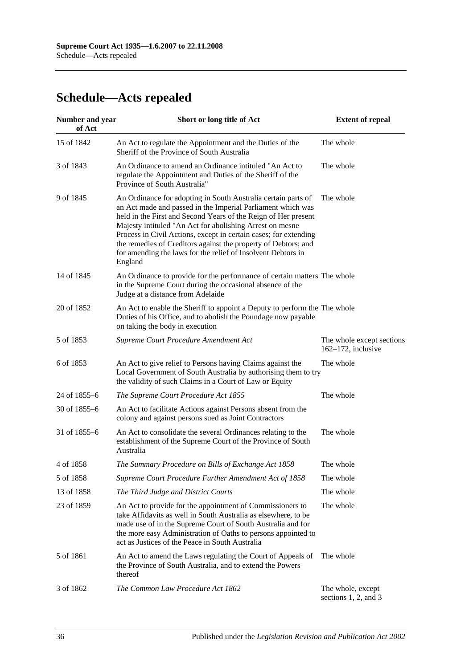# <span id="page-35-0"></span>**Schedule—Acts repealed**

| <b>Number and year</b><br>of Act | Short or long title of Act                                                                                                                                                                                                                                                                                                                                                                                                                                                  | <b>Extent of repeal</b>                            |  |
|----------------------------------|-----------------------------------------------------------------------------------------------------------------------------------------------------------------------------------------------------------------------------------------------------------------------------------------------------------------------------------------------------------------------------------------------------------------------------------------------------------------------------|----------------------------------------------------|--|
| 15 of 1842                       | An Act to regulate the Appointment and the Duties of the<br>Sheriff of the Province of South Australia                                                                                                                                                                                                                                                                                                                                                                      | The whole                                          |  |
| 3 of 1843                        | An Ordinance to amend an Ordinance intituled "An Act to<br>regulate the Appointment and Duties of the Sheriff of the<br>Province of South Australia"                                                                                                                                                                                                                                                                                                                        | The whole                                          |  |
| 9 of 1845                        | An Ordinance for adopting in South Australia certain parts of<br>an Act made and passed in the Imperial Parliament which was<br>held in the First and Second Years of the Reign of Her present<br>Majesty intituled "An Act for abolishing Arrest on mesne<br>Process in Civil Actions, except in certain cases; for extending<br>the remedies of Creditors against the property of Debtors; and<br>for amending the laws for the relief of Insolvent Debtors in<br>England | The whole                                          |  |
| 14 of 1845                       | An Ordinance to provide for the performance of certain matters The whole<br>in the Supreme Court during the occasional absence of the<br>Judge at a distance from Adelaide                                                                                                                                                                                                                                                                                                  |                                                    |  |
| 20 of 1852                       | An Act to enable the Sheriff to appoint a Deputy to perform the The whole<br>Duties of his Office, and to abolish the Poundage now payable<br>on taking the body in execution                                                                                                                                                                                                                                                                                               |                                                    |  |
| 5 of 1853                        | Supreme Court Procedure Amendment Act                                                                                                                                                                                                                                                                                                                                                                                                                                       | The whole except sections<br>$162-172$ , inclusive |  |
| 6 of 1853                        | An Act to give relief to Persons having Claims against the<br>Local Government of South Australia by authorising them to try<br>the validity of such Claims in a Court of Law or Equity                                                                                                                                                                                                                                                                                     | The whole                                          |  |
| 24 of 1855-6                     | The Supreme Court Procedure Act 1855                                                                                                                                                                                                                                                                                                                                                                                                                                        | The whole                                          |  |
| 30 of 1855-6                     | An Act to facilitate Actions against Persons absent from the<br>colony and against persons sued as Joint Contractors                                                                                                                                                                                                                                                                                                                                                        |                                                    |  |
| 31 of 1855-6                     | An Act to consolidate the several Ordinances relating to the<br>establishment of the Supreme Court of the Province of South<br>Australia                                                                                                                                                                                                                                                                                                                                    | The whole                                          |  |
| 4 of 1858                        | The Summary Procedure on Bills of Exchange Act 1858                                                                                                                                                                                                                                                                                                                                                                                                                         | The whole                                          |  |
| 5 of 1858                        | Supreme Court Procedure Further Amendment Act of 1858                                                                                                                                                                                                                                                                                                                                                                                                                       | The whole                                          |  |
| 13 of 1858                       | The Third Judge and District Courts                                                                                                                                                                                                                                                                                                                                                                                                                                         | The whole                                          |  |
| 23 of 1859                       | An Act to provide for the appointment of Commissioners to<br>take Affidavits as well in South Australia as elsewhere, to be<br>made use of in the Supreme Court of South Australia and for<br>the more easy Administration of Oaths to persons appointed to<br>act as Justices of the Peace in South Australia                                                                                                                                                              | The whole                                          |  |
| 5 of 1861                        | An Act to amend the Laws regulating the Court of Appeals of<br>the Province of South Australia, and to extend the Powers<br>thereof                                                                                                                                                                                                                                                                                                                                         | The whole                                          |  |
| 3 of 1862                        | The Common Law Procedure Act 1862                                                                                                                                                                                                                                                                                                                                                                                                                                           | The whole, except<br>sections 1, 2, and 3          |  |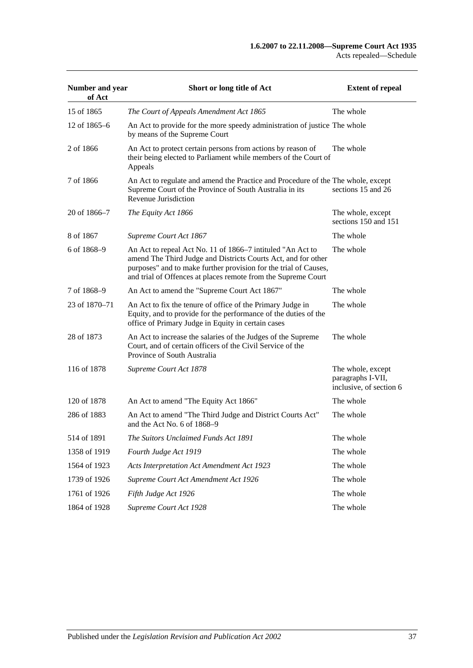| Number and year<br>of Act | Short or long title of Act                                                                                                                                                                                                                                       | <b>Extent of repeal</b>                                           |
|---------------------------|------------------------------------------------------------------------------------------------------------------------------------------------------------------------------------------------------------------------------------------------------------------|-------------------------------------------------------------------|
| 15 of 1865                | The Court of Appeals Amendment Act 1865                                                                                                                                                                                                                          | The whole                                                         |
| 12 of 1865–6              | An Act to provide for the more speedy administration of justice The whole<br>by means of the Supreme Court                                                                                                                                                       |                                                                   |
| 2 of 1866                 | An Act to protect certain persons from actions by reason of<br>their being elected to Parliament while members of the Court of<br>Appeals                                                                                                                        | The whole                                                         |
| 7 of 1866                 | An Act to regulate and amend the Practice and Procedure of the The whole, except<br>Supreme Court of the Province of South Australia in its<br>Revenue Jurisdiction                                                                                              | sections 15 and 26                                                |
| 20 of 1866–7              | The Equity Act 1866                                                                                                                                                                                                                                              | The whole, except<br>sections 150 and 151                         |
| 8 of 1867                 | Supreme Court Act 1867                                                                                                                                                                                                                                           | The whole                                                         |
| 6 of 1868–9               | An Act to repeal Act No. 11 of 1866–7 intituled "An Act to<br>amend The Third Judge and Districts Courts Act, and for other<br>purposes" and to make further provision for the trial of Causes,<br>and trial of Offences at places remote from the Supreme Court | The whole                                                         |
| 7 of 1868-9               | An Act to amend the "Supreme Court Act 1867"                                                                                                                                                                                                                     | The whole                                                         |
| 23 of 1870–71             | An Act to fix the tenure of office of the Primary Judge in<br>Equity, and to provide for the performance of the duties of the<br>office of Primary Judge in Equity in certain cases                                                                              | The whole                                                         |
| 28 of 1873                | An Act to increase the salaries of the Judges of the Supreme<br>Court, and of certain officers of the Civil Service of the<br>Province of South Australia                                                                                                        | The whole                                                         |
| 116 of 1878               | Supreme Court Act 1878                                                                                                                                                                                                                                           | The whole, except<br>paragraphs I-VII,<br>inclusive, of section 6 |
| 120 of 1878               | An Act to amend "The Equity Act 1866"                                                                                                                                                                                                                            | The whole                                                         |
| 286 of 1883               | An Act to amend "The Third Judge and District Courts Act"<br>and the Act No. 6 of 1868–9                                                                                                                                                                         | The whole                                                         |
| 514 of 1891               | The Suitors Unclaimed Funds Act 1891                                                                                                                                                                                                                             | The whole                                                         |
| 1358 of 1919              | Fourth Judge Act 1919                                                                                                                                                                                                                                            | The whole                                                         |
| 1564 of 1923              | Acts Interpretation Act Amendment Act 1923                                                                                                                                                                                                                       | The whole                                                         |
| 1739 of 1926              | Supreme Court Act Amendment Act 1926                                                                                                                                                                                                                             | The whole                                                         |
| 1761 of 1926              | Fifth Judge Act 1926                                                                                                                                                                                                                                             | The whole                                                         |
| 1864 of 1928              | Supreme Court Act 1928                                                                                                                                                                                                                                           | The whole                                                         |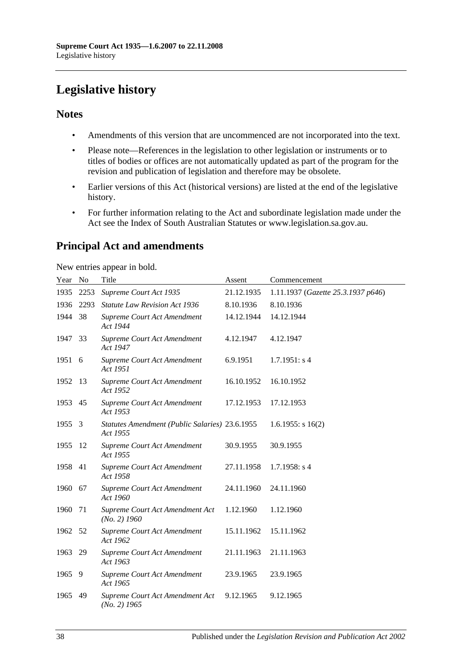# <span id="page-37-0"></span>**Legislative history**

# **Notes**

- Amendments of this version that are uncommenced are not incorporated into the text.
- Please note—References in the legislation to other legislation or instruments or to titles of bodies or offices are not automatically updated as part of the program for the revision and publication of legislation and therefore may be obsolete.
- Earlier versions of this Act (historical versions) are listed at the end of the legislative history.
- For further information relating to the Act and subordinate legislation made under the Act see the Index of South Australian Statutes or www.legislation.sa.gov.au.

# **Principal Act and amendments**

New entries appear in bold.

| Year No |      | Title                                                      | Assent     | Commencement                       |
|---------|------|------------------------------------------------------------|------------|------------------------------------|
| 1935    | 2253 | Supreme Court Act 1935                                     | 21.12.1935 | 1.11.1937 (Gazette 25.3.1937 p646) |
| 1936    | 2293 | <b>Statute Law Revision Act 1936</b>                       | 8.10.1936  | 8.10.1936                          |
| 1944    | 38   | Supreme Court Act Amendment<br>Act 1944                    | 14.12.1944 | 14.12.1944                         |
| 1947    | 33   | Supreme Court Act Amendment<br>Act 1947                    | 4.12.1947  | 4.12.1947                          |
| 1951 6  |      | Supreme Court Act Amendment<br>Act 1951                    | 6.9.1951   | 1.7.1951: s4                       |
| 1952    | 13   | Supreme Court Act Amendment<br>Act 1952                    | 16.10.1952 | 16.10.1952                         |
| 1953    | 45   | Supreme Court Act Amendment<br>Act 1953                    | 17.12.1953 | 17.12.1953                         |
| 1955    | 3    | Statutes Amendment (Public Salaries) 23.6.1955<br>Act 1955 |            | $1.6.1955$ : s $16(2)$             |
| 1955    | 12   | Supreme Court Act Amendment<br>Act 1955                    | 30.9.1955  | 30.9.1955                          |
| 1958    | 41   | Supreme Court Act Amendment<br>Act 1958                    | 27.11.1958 | $1.7.1958$ : s 4                   |
| 1960    | 67   | Supreme Court Act Amendment<br>Act 1960                    | 24.11.1960 | 24.11.1960                         |
| 1960    | 71   | Supreme Court Act Amendment Act<br>$(No. 2)$ 1960          | 1.12.1960  | 1.12.1960                          |
| 1962    | 52   | Supreme Court Act Amendment<br>Act 1962                    | 15.11.1962 | 15.11.1962                         |
| 1963    | 29   | Supreme Court Act Amendment<br>Act 1963                    | 21.11.1963 | 21.11.1963                         |
| 1965    | 9    | Supreme Court Act Amendment<br>Act 1965                    | 23.9.1965  | 23.9.1965                          |
| 1965    | 49   | Supreme Court Act Amendment Act<br>$(No. 2)$ 1965          | 9.12.1965  | 9.12.1965                          |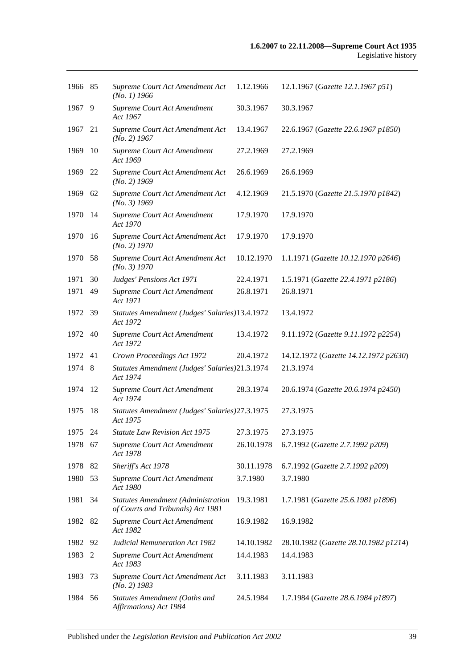| 1966 85 |     | Supreme Court Act Amendment Act<br>(No. 1) 1966                                | 1.12.1966  | 12.1.1967 (Gazette 12.1.1967 p51)     |
|---------|-----|--------------------------------------------------------------------------------|------------|---------------------------------------|
| 1967    | 9   | Supreme Court Act Amendment<br>Act 1967                                        | 30.3.1967  | 30.3.1967                             |
| 1967    | 21  | Supreme Court Act Amendment Act<br>$(No. 2)$ 1967                              | 13.4.1967  | 22.6.1967 (Gazette 22.6.1967 p1850)   |
| 1969    | 10  | Supreme Court Act Amendment<br>Act 1969                                        | 27.2.1969  | 27.2.1969                             |
| 1969    | 22  | Supreme Court Act Amendment Act<br>$(No. 2)$ 1969                              | 26.6.1969  | 26.6.1969                             |
| 1969    | 62  | Supreme Court Act Amendment Act<br>$(No. 3)$ 1969                              | 4.12.1969  | 21.5.1970 (Gazette 21.5.1970 p1842)   |
| 1970    | 14  | Supreme Court Act Amendment<br>Act 1970                                        | 17.9.1970  | 17.9.1970                             |
| 1970    | -16 | Supreme Court Act Amendment Act<br>$(No. 2)$ 1970                              | 17.9.1970  | 17.9.1970                             |
| 1970    | 58  | Supreme Court Act Amendment Act<br>(No. 3) 1970                                | 10.12.1970 | 1.1.1971 (Gazette 10.12.1970 p2646)   |
| 1971    | 30  | Judges' Pensions Act 1971                                                      | 22.4.1971  | 1.5.1971 (Gazette 22.4.1971 p2186)    |
| 1971    | 49  | Supreme Court Act Amendment<br>Act 1971                                        | 26.8.1971  | 26.8.1971                             |
| 1972    | -39 | Statutes Amendment (Judges' Salaries)13.4.1972<br>Act 1972                     |            | 13.4.1972                             |
| 1972    | 40  | Supreme Court Act Amendment<br>Act 1972                                        | 13.4.1972  | 9.11.1972 (Gazette 9.11.1972 p2254)   |
| 1972    | 41  | Crown Proceedings Act 1972                                                     | 20.4.1972  | 14.12.1972 (Gazette 14.12.1972 p2630) |
| 1974    | 8   | Statutes Amendment (Judges' Salaries)21.3.1974<br>Act 1974                     |            | 21.3.1974                             |
| 1974    | 12  | Supreme Court Act Amendment<br>Act 1974                                        | 28.3.1974  | 20.6.1974 (Gazette 20.6.1974 p2450)   |
| 1975    | 18  | <b>Statutes Amendment (Judges' Salaries)27.3.1975</b><br>Act 1975              |            | 27.3.1975                             |
| 1975 24 |     | <b>Statute Law Revision Act 1975</b>                                           | 27.3.1975  | 27.3.1975                             |
| 1978 67 |     | Supreme Court Act Amendment<br>Act 1978                                        | 26.10.1978 | 6.7.1992 (Gazette 2.7.1992 p209)      |
| 1978    | 82  | Sheriff's Act 1978                                                             | 30.11.1978 | 6.7.1992 (Gazette 2.7.1992 p209)      |
| 1980    | 53  | Supreme Court Act Amendment<br>Act 1980                                        | 3.7.1980   | 3.7.1980                              |
| 1981    | 34  | <b>Statutes Amendment (Administration</b><br>of Courts and Tribunals) Act 1981 | 19.3.1981  | 1.7.1981 (Gazette 25.6.1981 p1896)    |
| 1982    | 82  | Supreme Court Act Amendment<br>Act 1982                                        | 16.9.1982  | 16.9.1982                             |
| 1982    | 92  | <b>Judicial Remuneration Act 1982</b>                                          | 14.10.1982 | 28.10.1982 (Gazette 28.10.1982 p1214) |
| 1983    | 2   | Supreme Court Act Amendment<br>Act 1983                                        | 14.4.1983  | 14.4.1983                             |
| 1983    | 73  | Supreme Court Act Amendment Act<br>$(No. 2)$ 1983                              | 3.11.1983  | 3.11.1983                             |
| 1984    | 56  | Statutes Amendment (Oaths and<br>Affirmations) Act 1984                        | 24.5.1984  | 1.7.1984 (Gazette 28.6.1984 p1897)    |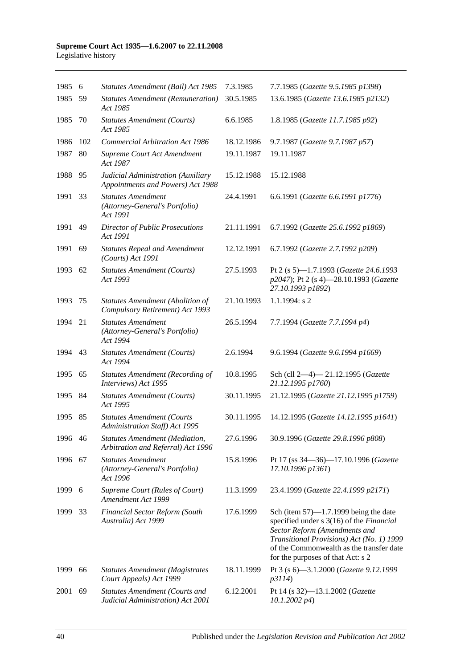| 1985 6  |     | Statutes Amendment (Bail) Act 1985                                         | 7.3.1985   | 7.7.1985 (Gazette 9.5.1985 p1398)                                                                                                                                                                                                                   |
|---------|-----|----------------------------------------------------------------------------|------------|-----------------------------------------------------------------------------------------------------------------------------------------------------------------------------------------------------------------------------------------------------|
| 1985    | 59  | <b>Statutes Amendment (Remuneration)</b><br>Act 1985                       | 30.5.1985  | 13.6.1985 (Gazette 13.6.1985 p2132)                                                                                                                                                                                                                 |
| 1985    | 70  | <b>Statutes Amendment (Courts)</b><br>Act 1985                             | 6.6.1985   | 1.8.1985 (Gazette 11.7.1985 p92)                                                                                                                                                                                                                    |
| 1986    | 102 | <b>Commercial Arbitration Act 1986</b>                                     | 18.12.1986 | 9.7.1987 (Gazette 9.7.1987 p57)                                                                                                                                                                                                                     |
| 1987    | 80  | Supreme Court Act Amendment<br>Act 1987                                    | 19.11.1987 | 19.11.1987                                                                                                                                                                                                                                          |
| 1988    | 95  | Judicial Administration (Auxiliary<br>Appointments and Powers) Act 1988    | 15.12.1988 | 15.12.1988                                                                                                                                                                                                                                          |
| 1991    | 33  | <b>Statutes Amendment</b><br>(Attorney-General's Portfolio)<br>Act 1991    | 24.4.1991  | 6.6.1991 (Gazette 6.6.1991 p1776)                                                                                                                                                                                                                   |
| 1991    | 49  | <b>Director of Public Prosecutions</b><br>Act 1991                         | 21.11.1991 | 6.7.1992 (Gazette 25.6.1992 p1869)                                                                                                                                                                                                                  |
| 1991    | 69  | <b>Statutes Repeal and Amendment</b><br>(Courts) Act 1991                  | 12.12.1991 | 6.7.1992 (Gazette 2.7.1992 p209)                                                                                                                                                                                                                    |
| 1993    | 62  | <b>Statutes Amendment (Courts)</b><br>Act 1993                             | 27.5.1993  | Pt 2 (s 5)-1.7.1993 (Gazette 24.6.1993<br>p2047); Pt 2 (s 4)-28.10.1993 (Gazette<br>27.10.1993 p1892)                                                                                                                                               |
| 1993    | 75  | Statutes Amendment (Abolition of<br>Compulsory Retirement) Act 1993        | 21.10.1993 | $1.1.1994$ : s 2                                                                                                                                                                                                                                    |
| 1994    | 21  | <b>Statutes Amendment</b><br>(Attorney-General's Portfolio)<br>Act 1994    | 26.5.1994  | 7.7.1994 (Gazette 7.7.1994 p4)                                                                                                                                                                                                                      |
| 1994    | 43  | <b>Statutes Amendment (Courts)</b><br>Act 1994                             | 2.6.1994   | 9.6.1994 (Gazette 9.6.1994 p1669)                                                                                                                                                                                                                   |
| 1995    | 65  | <b>Statutes Amendment (Recording of</b><br>Interviews) Act 1995            | 10.8.1995  | Sch (cll 2-4)-21.12.1995 (Gazette<br>21.12.1995 p1760)                                                                                                                                                                                              |
| 1995    | -84 | <b>Statutes Amendment (Courts)</b><br>Act 1995                             | 30.11.1995 | 21.12.1995 (Gazette 21.12.1995 p1759)                                                                                                                                                                                                               |
| 1995    | 85  | <b>Statutes Amendment (Courts</b><br>Administration Staff) Act 1995        | 30.11.1995 | 14.12.1995 (Gazette 14.12.1995 p1641)                                                                                                                                                                                                               |
| 1996 46 |     | Statutes Amendment (Mediation,<br>Arbitration and Referral) Act 1996       | 27.6.1996  | 30.9.1996 (Gazette 29.8.1996 p808)                                                                                                                                                                                                                  |
| 1996    | 67  | <b>Statutes Amendment</b><br>(Attorney-General's Portfolio)<br>Act 1996    | 15.8.1996  | Pt 17 (ss 34–36)–17.10.1996 (Gazette<br>17.10.1996 p1361)                                                                                                                                                                                           |
| 1999 6  |     | Supreme Court (Rules of Court)<br>Amendment Act 1999                       | 11.3.1999  | 23.4.1999 (Gazette 22.4.1999 p2171)                                                                                                                                                                                                                 |
| 1999    | 33  | <b>Financial Sector Reform (South</b><br>Australia) Act 1999               | 17.6.1999  | Sch (item $57$ )—1.7.1999 being the date<br>specified under s 3(16) of the Financial<br>Sector Reform (Amendments and<br>Transitional Provisions) Act (No. 1) 1999<br>of the Commonwealth as the transfer date<br>for the purposes of that Act: s 2 |
| 1999    | 66  | <b>Statutes Amendment (Magistrates</b><br>Court Appeals) Act 1999          | 18.11.1999 | Pt 3 (s 6)-3.1.2000 (Gazette 9.12.1999<br>p3114)                                                                                                                                                                                                    |
| 2001    | 69  | <b>Statutes Amendment (Courts and</b><br>Judicial Administration) Act 2001 | 6.12.2001  | Pt 14 (s 32)-13.1.2002 (Gazette<br>$10.1.2002\ p4)$                                                                                                                                                                                                 |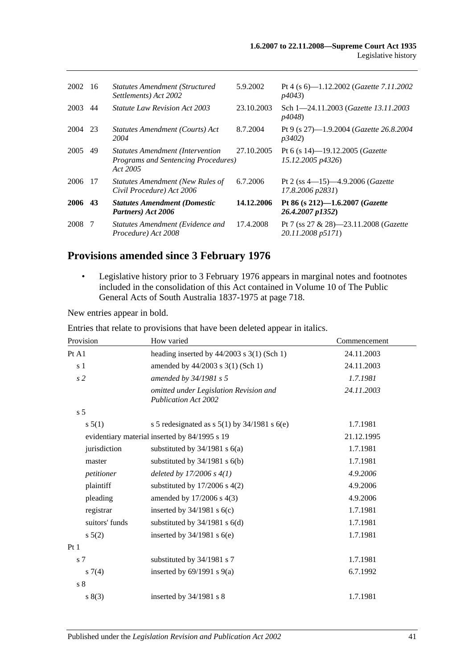| 2002    | -16 | <b>Statutes Amendment (Structured</b><br>Settlements) Act 2002                                      | 5.9.2002   | Pt 4 (s $6$ )—1.12.2002 ( <i>Gazette 7.11.2002</i><br><i>p4043</i> ) |
|---------|-----|-----------------------------------------------------------------------------------------------------|------------|----------------------------------------------------------------------|
| 2003    | 44  | <i>Statute Law Revision Act 2003</i>                                                                | 23.10.2003 | Sch 1-24.11.2003 (Gazette 13.11.2003)<br><i>p4048</i> )              |
| 2004    | 23  | Statutes Amendment (Courts) Act<br>2004                                                             | 8.7.2004   | Pt 9 (s 27)-1.9.2004 (Gazette 26.8.2004)<br><i>p</i> 3402)           |
| 2005    | 49  | <b>Statutes Amendment (Intervention)</b><br><b>Programs and Sentencing Procedures</b> )<br>Act 2005 | 27.10.2005 | Pt 6 (s 14)-19.12.2005 ( <i>Gazette</i><br>15.12.2005 p4326)         |
| 2006    | -17 | Statutes Amendment (New Rules of<br>Civil Procedure) Act 2006                                       | 6.7.2006   | Pt 2 (ss $4-15$ ) $-4.9.2006$ ( <i>Gazette</i><br>17.8.2006 p2831)   |
| 2006 43 |     | <b>Statutes Amendment (Domestic</b><br>Partners) Act 2006                                           | 14.12.2006 | Pt 86 (s $212$ )-1.6.2007 ( <i>Gazette</i><br>26.4.2007 p1352)       |
| 2008    | -7  | Statutes Amendment (Evidence and<br>Procedure) Act 2008                                             | 17.4.2008  | Pt 7 (ss 27 & 28)—23.11.2008 ( <i>Gazette</i><br>20.11.2008 p5171)   |

# **Provisions amended since 3 February 1976**

• Legislative history prior to 3 February 1976 appears in marginal notes and footnotes included in the consolidation of this Act contained in Volume 10 of The Public General Acts of South Australia 1837-1975 at page 718.

New entries appear in bold.

| Provision      | How varied                                                            | Commencement |
|----------------|-----------------------------------------------------------------------|--------------|
| Pt A1          | heading inserted by $44/2003$ s 3(1) (Sch 1)                          | 24.11.2003   |
| s <sub>1</sub> | amended by 44/2003 s 3(1) (Sch 1)                                     | 24.11.2003   |
| s2             | amended by 34/1981 s 5                                                | 1.7.1981     |
|                | omitted under Legislation Revision and<br><b>Publication Act 2002</b> | 24.11.2003   |
| s <sub>5</sub> |                                                                       |              |
| s 5(1)         | s 5 redesignated as s $5(1)$ by $34/1981$ s $6(e)$                    | 1.7.1981     |
|                | evidentiary material inserted by 84/1995 s 19                         | 21.12.1995   |
| jurisdiction   | substituted by $34/1981$ s $6(a)$                                     | 1.7.1981     |
| master         | substituted by $34/1981$ s $6(b)$                                     | 1.7.1981     |
| petitioner     | deleted by $17/2006 s 4(1)$                                           | 4.9.2006     |
| plaintiff      | substituted by $17/2006$ s $4(2)$                                     | 4.9.2006     |
| pleading       | amended by 17/2006 s 4(3)                                             | 4.9.2006     |
| registrar      | inserted by $34/1981$ s $6(c)$                                        | 1.7.1981     |
| suitors' funds | substituted by $34/1981$ s $6(d)$                                     | 1.7.1981     |
| $s\ 5(2)$      | inserted by $34/1981$ s $6(e)$                                        | 1.7.1981     |
| Pt1            |                                                                       |              |
| s <sub>7</sub> | substituted by 34/1981 s 7                                            | 1.7.1981     |
| s7(4)          | inserted by $69/1991$ s $9(a)$                                        | 6.7.1992     |
| s <sub>8</sub> |                                                                       |              |
| s(3)           | inserted by 34/1981 s 8                                               | 1.7.1981     |

Entries that relate to provisions that have been deleted appear in italics.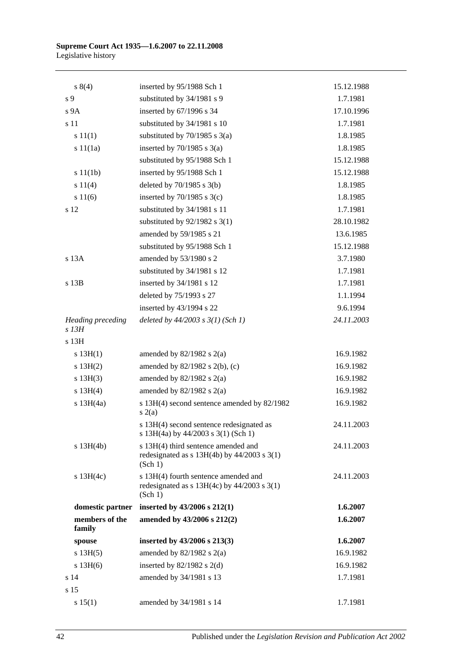| s 8(4)                       | inserted by 95/1988 Sch 1                                                                          | 15.12.1988 |
|------------------------------|----------------------------------------------------------------------------------------------------|------------|
| s 9                          | substituted by 34/1981 s 9                                                                         | 1.7.1981   |
| s 9A                         | inserted by 67/1996 s 34                                                                           | 17.10.1996 |
| s 11                         | substituted by 34/1981 s 10                                                                        | 1.7.1981   |
| s 11(1)                      | substituted by $70/1985$ s $3(a)$                                                                  | 1.8.1985   |
| s 11(1a)                     | inserted by $70/1985$ s $3(a)$                                                                     | 1.8.1985   |
|                              | substituted by 95/1988 Sch 1                                                                       | 15.12.1988 |
| s 11(1b)                     | inserted by 95/1988 Sch 1                                                                          | 15.12.1988 |
| s 11(4)                      | deleted by $70/1985$ s $3(b)$                                                                      | 1.8.1985   |
| s 11(6)                      | inserted by $70/1985$ s $3(c)$                                                                     | 1.8.1985   |
| s 12                         | substituted by 34/1981 s 11                                                                        | 1.7.1981   |
|                              | substituted by $92/1982$ s 3(1)                                                                    | 28.10.1982 |
|                              | amended by 59/1985 s 21                                                                            | 13.6.1985  |
|                              | substituted by 95/1988 Sch 1                                                                       | 15.12.1988 |
| s 13A                        | amended by 53/1980 s 2                                                                             | 3.7.1980   |
|                              | substituted by 34/1981 s 12                                                                        | 1.7.1981   |
| s 13B                        | inserted by 34/1981 s 12                                                                           | 1.7.1981   |
|                              | deleted by 75/1993 s 27                                                                            | 1.1.1994   |
|                              | inserted by 43/1994 s 22                                                                           | 9.6.1994   |
| Heading preceding<br>$s$ 13H | deleted by $44/2003$ s $3(1)$ (Sch 1)                                                              | 24.11.2003 |
| s 13H                        |                                                                                                    |            |
| s 13H(1)                     | amended by $82/1982$ s $2(a)$                                                                      | 16.9.1982  |
| s 13H(2)                     | amended by $82/1982$ s $2(b)$ , (c)                                                                | 16.9.1982  |
| s 13H(3)                     | amended by $82/1982$ s $2(a)$                                                                      | 16.9.1982  |
| s 13H(4)                     | amended by $82/1982$ s $2(a)$                                                                      | 16.9.1982  |
| s $13H(4a)$                  | s 13H(4) second sentence amended by 82/1982<br>s(2(a)                                              | 16.9.1982  |
|                              | s 13H(4) second sentence redesignated as<br>s 13H(4a) by 44/2003 s 3(1) (Sch 1)                    | 24.11.2003 |
| $s$ 13H(4b)                  | s 13H(4) third sentence amended and<br>redesignated as $s$ 13H(4b) by 44/2003 $s$ 3(1)<br>(Sch 1)  | 24.11.2003 |
| $s$ 13H(4c)                  | s 13H(4) fourth sentence amended and<br>redesignated as $s$ 13H(4c) by 44/2003 $s$ 3(1)<br>(Sch 1) | 24.11.2003 |
| domestic partner             | inserted by 43/2006 s 212(1)                                                                       | 1.6.2007   |
| members of the<br>family     | amended by 43/2006 s 212(2)                                                                        | 1.6.2007   |
| spouse                       | inserted by $43/2006$ s $213(3)$                                                                   | 1.6.2007   |
| s 13H(5)                     | amended by $82/1982$ s $2(a)$                                                                      | 16.9.1982  |
| s 13H(6)                     | inserted by $82/1982$ s $2(d)$                                                                     | 16.9.1982  |
| s <sub>14</sub>              | amended by 34/1981 s 13                                                                            | 1.7.1981   |
| s <sub>15</sub>              |                                                                                                    |            |
| s 15(1)                      | amended by 34/1981 s 14                                                                            | 1.7.1981   |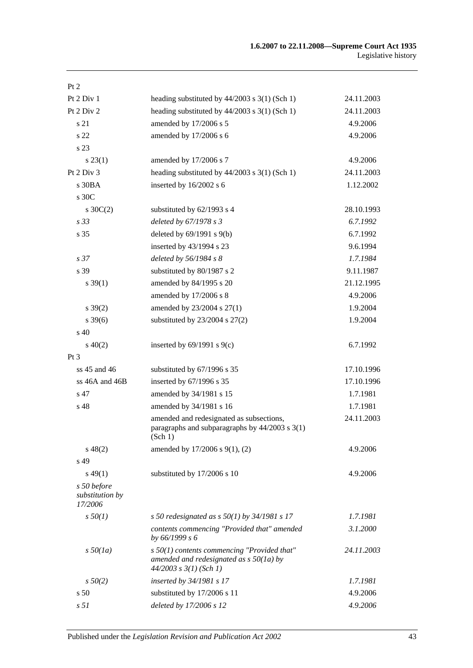| Pt 2                                      |                                                                                                                          |            |
|-------------------------------------------|--------------------------------------------------------------------------------------------------------------------------|------------|
| Pt 2 Div 1                                | heading substituted by $44/2003$ s 3(1) (Sch 1)                                                                          | 24.11.2003 |
| Pt 2 Div 2                                | heading substituted by $44/2003$ s 3(1) (Sch 1)                                                                          | 24.11.2003 |
| s 21                                      | amended by 17/2006 s 5                                                                                                   | 4.9.2006   |
| s 22                                      | amended by 17/2006 s 6                                                                                                   | 4.9.2006   |
| s 23                                      |                                                                                                                          |            |
| $s\,23(1)$                                | amended by 17/2006 s 7                                                                                                   | 4.9.2006   |
| Pt 2 Div 3                                | heading substituted by $44/2003$ s 3(1) (Sch 1)                                                                          | 24.11.2003 |
| $s$ 30BA                                  | inserted by 16/2002 s 6                                                                                                  | 1.12.2002  |
| s 30C                                     |                                                                                                                          |            |
| $s \, 30C(2)$                             | substituted by 62/1993 s 4                                                                                               | 28.10.1993 |
| s <sub>33</sub>                           | deleted by 67/1978 s 3                                                                                                   | 6.7.1992   |
| s 35                                      | deleted by $69/1991$ s $9(b)$                                                                                            | 6.7.1992   |
|                                           | inserted by 43/1994 s 23                                                                                                 | 9.6.1994   |
| s <sub>37</sub>                           | deleted by 56/1984 s 8                                                                                                   | 1.7.1984   |
| s 39                                      | substituted by 80/1987 s 2                                                                                               | 9.11.1987  |
| $s \, 39(1)$                              | amended by 84/1995 s 20                                                                                                  | 21.12.1995 |
|                                           | amended by 17/2006 s 8                                                                                                   | 4.9.2006   |
| $s \, 39(2)$                              | amended by 23/2004 s 27(1)                                                                                               | 1.9.2004   |
| $s \, 39(6)$                              | substituted by $23/2004$ s $27(2)$                                                                                       | 1.9.2004   |
| $s\,40$                                   |                                                                                                                          |            |
| $s\ 40(2)$                                | inserted by $69/1991$ s $9(c)$                                                                                           | 6.7.1992   |
| Pt 3                                      |                                                                                                                          |            |
| ss $45$ and $46$                          | substituted by 67/1996 s 35                                                                                              | 17.10.1996 |
| $ss$ 46A and 46B                          | inserted by 67/1996 s 35                                                                                                 | 17.10.1996 |
| s 47                                      | amended by 34/1981 s 15                                                                                                  | 1.7.1981   |
| s 48                                      | amended by 34/1981 s 16                                                                                                  | 1.7.1981   |
|                                           | amended and redesignated as subsections,<br>paragraphs and subparagraphs by $44/2003$ s $3(1)$<br>(Sch 1)                | 24.11.2003 |
| $s\,48(2)$                                | amended by 17/2006 s 9(1), (2)                                                                                           | 4.9.2006   |
| s 49                                      |                                                                                                                          |            |
| $s\,49(1)$                                | substituted by 17/2006 s 10                                                                                              | 4.9.2006   |
| s 50 before<br>substitution by<br>17/2006 |                                                                                                                          |            |
| $s\,50(1)$                                | s 50 redesignated as s $50(1)$ by 34/1981 s 17                                                                           | 1.7.1981   |
|                                           | contents commencing "Provided that" amended<br>by 66/1999 s 6                                                            | 3.1.2000   |
| $s\,50(1a)$                               | $s$ 50(1) contents commencing "Provided that"<br>amended and redesignated as $s$ 50(1a) by<br>$44/2003$ s $3(1)$ (Sch 1) | 24.11.2003 |
| $s\,50(2)$                                | inserted by 34/1981 s 17                                                                                                 | 1.7.1981   |
| s <sub>50</sub>                           | substituted by 17/2006 s 11                                                                                              | 4.9.2006   |
| s <sub>51</sub>                           | deleted by 17/2006 s 12                                                                                                  | 4.9.2006   |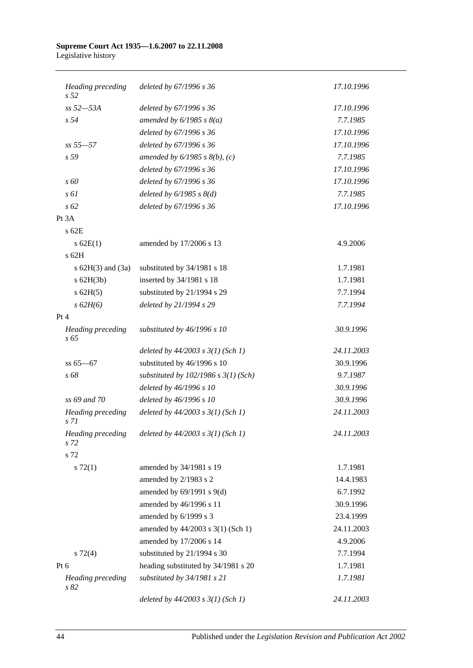| Heading preceding<br>s <sub>52</sub> | deleted by 67/1996 s 36                  | 17.10.1996 |
|--------------------------------------|------------------------------------------|------------|
| ss 52-53A                            | deleted by 67/1996 s 36                  | 17.10.1996 |
| s <sub>54</sub>                      | amended by $6/1985 s 8(a)$               | 7.7.1985   |
|                                      | deleted by 67/1996 s 36                  | 17.10.1996 |
| $ss 55 - 57$                         | deleted by 67/1996 s 36                  | 17.10.1996 |
| s 59                                 | amended by $6/1985 s 8(b)$ , (c)         | 7.7.1985   |
|                                      | deleted by 67/1996 s 36                  | 17.10.1996 |
| $\sqrt{s}$ 60                        | deleted by 67/1996 s 36                  | 17.10.1996 |
| $s \, \delta l$                      | deleted by $6/1985$ s $8(d)$             | 7.7.1985   |
| s 62                                 | deleted by 67/1996 s 36                  | 17.10.1996 |
| Pt 3A                                |                                          |            |
| s 62E                                |                                          |            |
| $s$ 62E(1)                           | amended by 17/2006 s 13                  | 4.9.2006   |
| s 62H                                |                                          |            |
| s $62H(3)$ and $(3a)$                | substituted by 34/1981 s 18              | 1.7.1981   |
| $s$ 62H(3b)                          | inserted by 34/1981 s 18                 | 1.7.1981   |
| $s$ 62H(5)                           | substituted by 21/1994 s 29              | 7.7.1994   |
| s 62H(6)                             | deleted by 21/1994 s 29                  | 7.7.1994   |
| Pt 4                                 |                                          |            |
| Heading preceding<br>$s\,65$         | substituted by 46/1996 s 10              | 30.9.1996  |
|                                      | deleted by $44/2003$ s $3(1)$ (Sch 1)    | 24.11.2003 |
| $ss 65 - 67$                         | substituted by 46/1996 s 10              | 30.9.1996  |
| s 68                                 | substituted by $102/1986$ s $3(1)$ (Sch) | 9.7.1987   |
|                                      | deleted by 46/1996 s 10                  | 30.9.1996  |
| ss 69 and 70                         | deleted by 46/1996 s 10                  | 30.9.1996  |
| <b>Heading</b> preceding<br>s 71     | deleted by $44/2003$ s $3(1)$ (Sch 1)    | 24.11.2003 |
| <b>Heading</b> preceding<br>s 72     | deleted by $44/2003$ s $3(1)$ (Sch 1)    | 24.11.2003 |
| s 72                                 |                                          |            |
| $s \, 72(1)$                         | amended by 34/1981 s 19                  | 1.7.1981   |
|                                      | amended by 2/1983 s 2                    | 14.4.1983  |
|                                      | amended by $69/1991$ s $9(d)$            | 6.7.1992   |
|                                      | amended by 46/1996 s 11                  | 30.9.1996  |
|                                      | amended by 6/1999 s 3                    | 23.4.1999  |
|                                      | amended by 44/2003 s 3(1) (Sch 1)        | 24.11.2003 |
|                                      | amended by 17/2006 s 14                  | 4.9.2006   |
| $s \, 72(4)$                         | substituted by 21/1994 s 30              | 7.7.1994   |
| Pt 6                                 | heading substituted by 34/1981 s 20      | 1.7.1981   |
| Heading preceding<br>s82             | substituted by 34/1981 s 21              | 1.7.1981   |
|                                      | deleted by $44/2003$ s $3(1)$ (Sch 1)    | 24.11.2003 |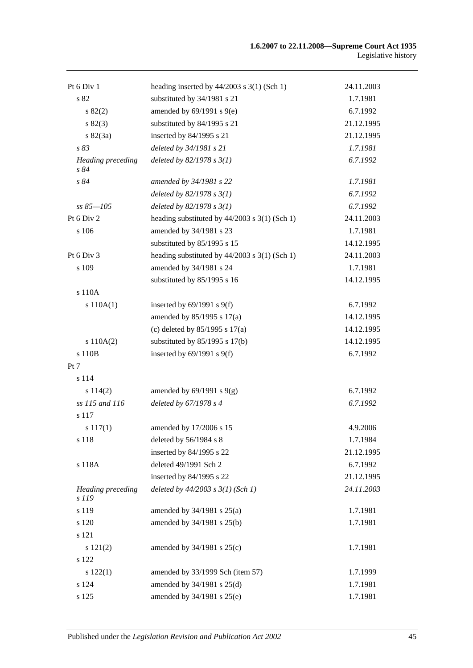| Pt 6 Div 1                        | heading inserted by 44/2003 s 3(1) (Sch 1)      | 24.11.2003 |
|-----------------------------------|-------------------------------------------------|------------|
| s 82                              | substituted by 34/1981 s 21                     | 1.7.1981   |
| $s\,82(2)$                        | amended by 69/1991 s 9(e)                       | 6.7.1992   |
| $s\,82(3)$                        | substituted by 84/1995 s 21                     | 21.12.1995 |
| $s \, 82(3a)$                     | inserted by 84/1995 s 21                        | 21.12.1995 |
| s 83                              | deleted by 34/1981 s 21                         | 1.7.1981   |
| <b>Heading</b> preceding<br>s 84  | deleted by $82/1978 s 3(1)$                     | 6.7.1992   |
| s 84                              | amended by 34/1981 s 22                         | 1.7.1981   |
|                                   | deleted by $82/1978 s 3(1)$                     | 6.7.1992   |
| $ss 85 - 105$                     | deleted by $82/1978 s 3(1)$                     | 6.7.1992   |
| Pt 6 Div 2                        | heading substituted by $44/2003$ s 3(1) (Sch 1) | 24.11.2003 |
| s 106                             | amended by 34/1981 s 23                         | 1.7.1981   |
|                                   | substituted by 85/1995 s 15                     | 14.12.1995 |
| Pt 6 Div 3                        | heading substituted by $44/2003$ s 3(1) (Sch 1) | 24.11.2003 |
| s 109                             | amended by 34/1981 s 24                         | 1.7.1981   |
|                                   | substituted by 85/1995 s 16                     | 14.12.1995 |
| s 110A                            |                                                 |            |
| s 110A(1)                         | inserted by $69/1991$ s $9(f)$                  | 6.7.1992   |
|                                   | amended by 85/1995 s 17(a)                      | 14.12.1995 |
|                                   | (c) deleted by $85/1995$ s $17(a)$              | 14.12.1995 |
| s 110A(2)                         | substituted by $85/1995$ s 17(b)                | 14.12.1995 |
| s 110B                            | inserted by $69/1991$ s $9(f)$                  | 6.7.1992   |
| Pt 7                              |                                                 |            |
| s 114                             |                                                 |            |
| s 114(2)                          | amended by $69/1991$ s $9(g)$                   | 6.7.1992   |
| ss 115 and 116                    | deleted by 67/1978 s 4                          | 6.7.1992   |
| s 117                             |                                                 |            |
| s 117(1)                          | amended by 17/2006 s 15                         | 4.9.2006   |
| s 118                             | deleted by 56/1984 s 8                          | 1.7.1984   |
|                                   | inserted by 84/1995 s 22                        | 21.12.1995 |
| s 118A                            | deleted 49/1991 Sch 2                           | 6.7.1992   |
|                                   | inserted by 84/1995 s 22                        | 21.12.1995 |
| <b>Heading</b> preceding<br>s 119 | deleted by $44/2003$ s $3(1)$ (Sch 1)           | 24.11.2003 |
| s 119                             | amended by 34/1981 s 25(a)                      | 1.7.1981   |
| s 120                             | amended by 34/1981 s 25(b)                      | 1.7.1981   |
| s 121                             |                                                 |            |
| s 121(2)                          | amended by $34/1981$ s $25(c)$                  | 1.7.1981   |
| s 122                             |                                                 |            |
| s 122(1)                          | amended by 33/1999 Sch (item 57)                | 1.7.1999   |
| s 124                             | amended by 34/1981 s 25(d)                      | 1.7.1981   |
| s 125                             | amended by 34/1981 s 25(e)                      | 1.7.1981   |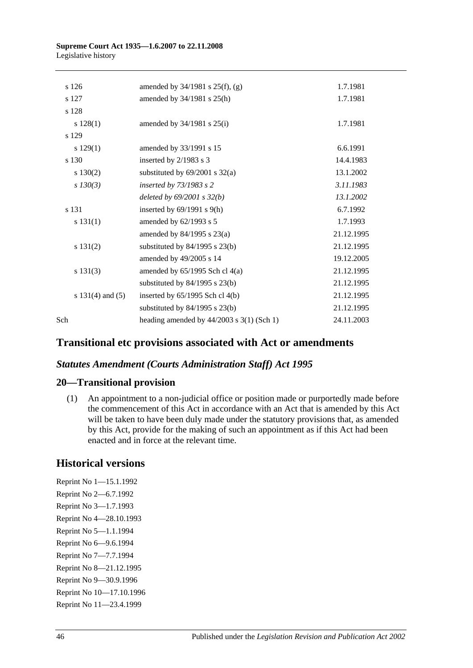| s 126                | amended by $34/1981$ s $25(f)$ , (g)        | 1.7.1981   |
|----------------------|---------------------------------------------|------------|
| s 127                | amended by $34/1981$ s $25(h)$              | 1.7.1981   |
| s 128                |                                             |            |
| s 128(1)             | amended by $34/1981$ s $25(i)$              | 1.7.1981   |
| s 129                |                                             |            |
| s 129(1)             | amended by 33/1991 s 15                     | 6.6.1991   |
| s 130                | inserted by 2/1983 s 3                      | 14.4.1983  |
| $s\ 130(2)$          | substituted by $69/2001$ s $32(a)$          | 13.1.2002  |
| $s$ 130(3)           | inserted by 73/1983 s 2                     | 3.11.1983  |
|                      | deleted by $69/2001$ s $32(b)$              | 13.1.2002  |
| s 131                | inserted by $69/1991$ s $9(h)$              | 6.7.1992   |
| s 131(1)             | amended by 62/1993 s 5                      | 1.7.1993   |
|                      | amended by $84/1995$ s $23(a)$              | 21.12.1995 |
| s 131(2)             | substituted by $84/1995$ s $23(b)$          | 21.12.1995 |
|                      | amended by 49/2005 s 14                     | 19.12.2005 |
| s 131(3)             | amended by $65/1995$ Sch cl $4(a)$          | 21.12.1995 |
|                      | substituted by $84/1995$ s $23(b)$          | 21.12.1995 |
| s $131(4)$ and $(5)$ | inserted by $65/1995$ Sch cl $4(b)$         | 21.12.1995 |
|                      | substituted by $84/1995$ s $23(b)$          | 21.12.1995 |
| Sch                  | heading amended by $44/2003$ s 3(1) (Sch 1) | 24.11.2003 |
|                      |                                             |            |

# **Transitional etc provisions associated with Act or amendments**

# *Statutes Amendment (Courts Administration Staff) Act 1995*

# **20—Transitional provision**

(1) An appointment to a non-judicial office or position made or purportedly made before the commencement of this Act in accordance with an Act that is amended by this Act will be taken to have been duly made under the statutory provisions that, as amended by this Act, provide for the making of such an appointment as if this Act had been enacted and in force at the relevant time.

# **Historical versions**

Reprint No 1—15.1.1992 Reprint No 2—6.7.1992 Reprint No 3—1.7.1993 Reprint No 4—28.10.1993 Reprint No 5—1.1.1994 Reprint No 6—9.6.1994 Reprint No 7—7.7.1994 Reprint No 8—21.12.1995 Reprint No 9—30.9.1996 Reprint No 10—17.10.1996 Reprint No 11—23.4.1999